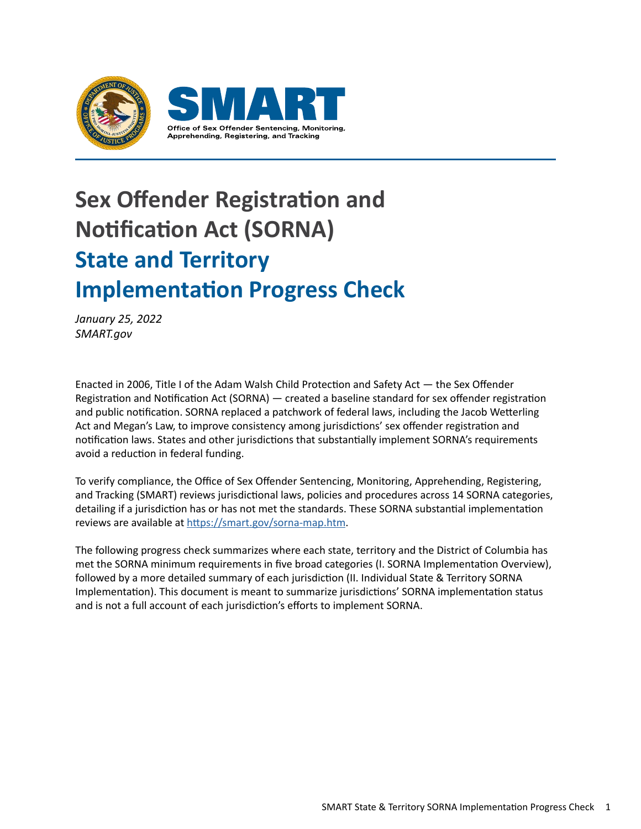

# **Sex Offender Registration and Notification Act (SORNA) State and Territory Implementation Progress Check**

*January 25, 2022 SMART.gov*

Enacted in 2006, Title I of the Adam Walsh Child Protection and Safety Act — the Sex Offender Registration and Notification Act (SORNA) — created a baseline standard for sex offender registration and public notification. SORNA replaced a patchwork of federal laws, including the Jacob Wetterling Act and Megan's Law, to improve consistency among jurisdictions' sex offender registration and notification laws. States and other jurisdictions that substantially implement SORNA's requirements avoid a reduction in federal funding.

To verify compliance, the Office of Sex Offender Sentencing, Monitoring, Apprehending, Registering, and Tracking (SMART) reviews jurisdictional laws, policies and procedures across 14 SORNA categories, detailing if a jurisdiction has or has not met the standards. These SORNA substantial implementation reviews are available at <https://smart.gov/sorna-map.htm>.

The following progress check summarizes where each state, territory and the District of Columbia has met the SORNA minimum requirements in five broad categories (I. SORNA Implementation Overview), followed by a more detailed summary of each jurisdiction (II. Individual State & Territory SORNA Implementation). This document is meant to summarize jurisdictions' SORNA implementation status and is not a full account of each jurisdiction's efforts to implement SORNA.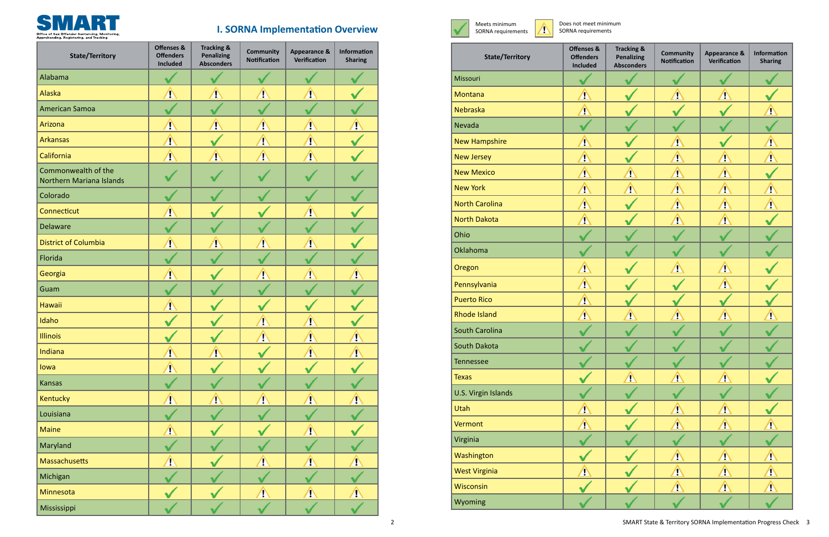| <b>State/Territory</b>                                 | <b>Offenses &amp;</b><br><b>Offenders</b><br><b>Included</b> | <b>Tracking &amp;</b><br><b>Penalizing</b><br><b>Absconders</b> | <b>Community</b><br><b>Notification</b> | <b>Appearance &amp;</b><br>Verification | <b>Information</b><br><b>Sharing</b> |
|--------------------------------------------------------|--------------------------------------------------------------|-----------------------------------------------------------------|-----------------------------------------|-----------------------------------------|--------------------------------------|
| Alabama                                                |                                                              |                                                                 |                                         |                                         |                                      |
| Alaska                                                 | $\sqrt{2}$                                                   | 小                                                               | Ţ                                       | Ą                                       |                                      |
| <b>American Samoa</b>                                  |                                                              |                                                                 |                                         |                                         |                                      |
| Arizona                                                | $\sqrt{2}$                                                   | $\sqrt{2}$                                                      | $\hat{\Phi}$                            | $\sqrt{V}$                              | $\sqrt{1}$                           |
| <b>Arkansas</b>                                        | $\sqrt{2}$                                                   |                                                                 | $\sqrt{2}$                              | $\sqrt{2}$                              |                                      |
| California                                             | $\sqrt{N}$                                                   | $\sqrt{2}$                                                      | $\sqrt{N}$                              | $\sqrt{N}$                              |                                      |
| Commonwealth of the<br><b>Northern Mariana Islands</b> |                                                              |                                                                 |                                         |                                         |                                      |
| Colorado                                               |                                                              |                                                                 |                                         |                                         |                                      |
| Connecticut                                            | $\sqrt{2}$                                                   |                                                                 |                                         | T                                       |                                      |
| <b>Delaware</b>                                        |                                                              |                                                                 |                                         |                                         |                                      |
| <b>District of Columbia</b>                            | $\sqrt{2}$                                                   | 少                                                               | Ţ                                       | $\sqrt{2}$                              |                                      |
| Florida                                                |                                                              |                                                                 |                                         |                                         |                                      |
| Georgia                                                | 4                                                            |                                                                 |                                         | Ţ                                       | Ţ                                    |
| Guam                                                   |                                                              |                                                                 |                                         |                                         |                                      |
| <b>Hawaii</b>                                          | 4                                                            |                                                                 |                                         |                                         |                                      |
| Idaho                                                  |                                                              |                                                                 | Ţ                                       | T                                       |                                      |
| <b>Illinois</b>                                        |                                                              |                                                                 | Ţ                                       | D                                       | Ţ                                    |
| Indiana                                                | $\sqrt{2}$                                                   | $\sqrt{V}$                                                      |                                         | $\sqrt{2}$                              | $\sqrt{2}$                           |
| lowa                                                   | $\bigwedge$                                                  |                                                                 |                                         |                                         |                                      |
| <b>Kansas</b>                                          |                                                              |                                                                 |                                         |                                         |                                      |
| Kentucky                                               | $\sqrt{2}$                                                   | $\bigwedge$                                                     | $\sqrt{2}$                              | $\sqrt{2}$                              | $\sqrt{N}$                           |
| Louisiana                                              |                                                              |                                                                 |                                         |                                         |                                      |
| <b>Maine</b>                                           | $\Delta$                                                     |                                                                 |                                         | $\sqrt{2}$                              |                                      |
| Maryland                                               |                                                              |                                                                 |                                         |                                         |                                      |
| Massachusetts                                          | $\overline{\mathbb{A}}$                                      |                                                                 | $\hat{\mathbb{V}}$                      | $\hat{\mathbf{v}}$                      | $\sqrt{2}$                           |
| Michigan                                               |                                                              |                                                                 |                                         |                                         |                                      |
| Minnesota                                              |                                                              |                                                                 | $\sqrt{2}$                              | $\sqrt{2}$                              | $\sqrt{2}$                           |
| Mississippi                                            |                                                              |                                                                 |                                         |                                         |                                      |

Does not meet minimum SORNA requirements



## **I. SORNA Implementation Overview**

| <b>State/Territory</b> | <b>Offenses &amp;</b><br><b>Offenders</b><br><b>Included</b> | <b>Tracking &amp;</b><br><b>Penalizing</b><br><b>Absconders</b> | <b>Community</b><br><b>Notification</b> | <b>Appearance &amp;</b><br><b>Verification</b> | <b>Information</b><br><b>Sharing</b> |  |
|------------------------|--------------------------------------------------------------|-----------------------------------------------------------------|-----------------------------------------|------------------------------------------------|--------------------------------------|--|
| Missouri               |                                                              |                                                                 |                                         |                                                |                                      |  |
| Montana                | $\sqrt{N}$                                                   |                                                                 | $\sqrt{2}$                              | $\sqrt{N}$                                     |                                      |  |
| Nebraska               | $\sqrt{2}$                                                   |                                                                 |                                         |                                                | $\sqrt{2}$                           |  |
| Nevada                 |                                                              |                                                                 |                                         |                                                |                                      |  |
| <b>New Hampshire</b>   | $\sqrt{2}$                                                   |                                                                 | $\sqrt{2}$                              |                                                | $\Delta$                             |  |
| <b>New Jersey</b>      | $\sqrt{2}$                                                   |                                                                 | $\sqrt{N}$                              | $\sqrt{2}$                                     | $\sqrt{2}$                           |  |
| <b>New Mexico</b>      | $\sqrt{2}$                                                   | $\sqrt{2}$                                                      | $\Delta$                                | $\Lambda$                                      |                                      |  |
| <b>New York</b>        | $\Delta$                                                     | $\sqrt{2}$                                                      | $\Delta$                                | $\Delta$                                       | $\sqrt{N}$                           |  |
| <b>North Carolina</b>  | $\sqrt{N}$                                                   |                                                                 | $\Delta$                                | $\Delta$                                       | $\Delta$                             |  |
| <b>North Dakota</b>    | $\Delta$                                                     |                                                                 | $\sqrt{N}$                              | $\sqrt{N}$                                     |                                      |  |
| Ohio                   |                                                              |                                                                 |                                         |                                                |                                      |  |
| Oklahoma               |                                                              |                                                                 |                                         |                                                |                                      |  |
| Oregon                 | $\Delta$                                                     |                                                                 | $\sqrt{N}$                              | $\Delta$                                       |                                      |  |
| Pennsylvania           | $\Delta$                                                     |                                                                 |                                         | $\Delta$                                       |                                      |  |
| <b>Puerto Rico</b>     | $\bigwedge$                                                  |                                                                 |                                         |                                                |                                      |  |
| <b>Rhode Island</b>    | $\sqrt{2}$                                                   | $\sqrt{2}$                                                      | $\sqrt{2}$                              | $\sqrt{2}$                                     | $\sqrt{2}$                           |  |
| <b>South Carolina</b>  |                                                              |                                                                 |                                         |                                                |                                      |  |
| South Dakota           |                                                              |                                                                 |                                         |                                                |                                      |  |
| Tennessee              |                                                              |                                                                 |                                         |                                                |                                      |  |
| <b>Texas</b>           |                                                              | $\sqrt{2}$                                                      | $\Delta$                                | $\sqrt{2}$                                     |                                      |  |
| U.S. Virgin Islands    |                                                              |                                                                 |                                         |                                                |                                      |  |
| Utah                   | $\Delta$                                                     |                                                                 | $\sqrt{2}$                              | $\sqrt{2}$                                     |                                      |  |
| Vermont                | $\bigwedge$                                                  |                                                                 | $\sqrt{2}$                              | $\bf \Phi$                                     | $\sqrt{2}$                           |  |
| Virginia               |                                                              |                                                                 |                                         |                                                |                                      |  |
| Washington             |                                                              |                                                                 | $\Delta$                                | $\Delta$                                       | $\sqrt{N}$                           |  |
| <b>West Virginia</b>   | $\sqrt{N}$                                                   |                                                                 | $\Delta$                                | $\sqrt{2}$                                     | $\Delta$                             |  |
| Wisconsin              |                                                              |                                                                 | $\sqrt{N}$                              | $\sqrt{N}$                                     | $\Delta$                             |  |
| Wyoming                |                                                              |                                                                 |                                         |                                                |                                      |  |

Meets minimum M SORNA requirements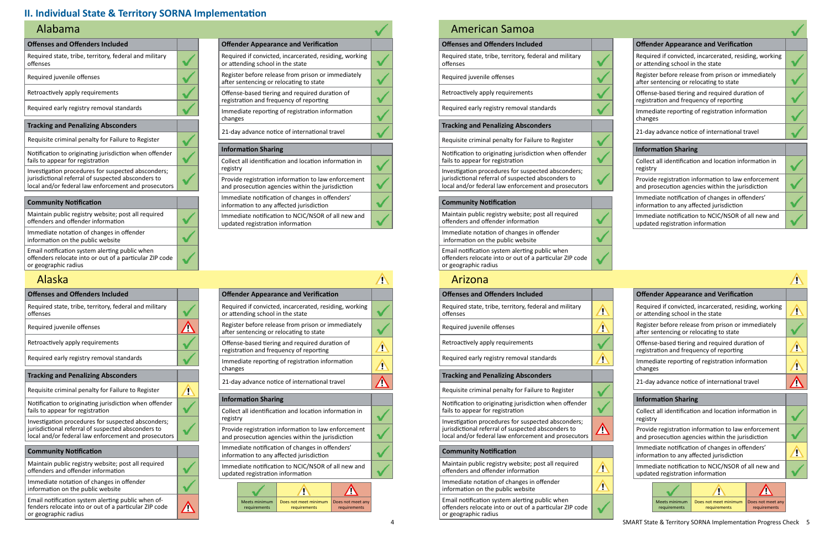| <b>Offenses and Offenders Included</b>                                                                                                                           |  |
|------------------------------------------------------------------------------------------------------------------------------------------------------------------|--|
| Required state, tribe, territory, federal and military<br>offenses                                                                                               |  |
| Required juvenile offenses                                                                                                                                       |  |
| Retroactively apply requirements                                                                                                                                 |  |
| Required early registry removal standards                                                                                                                        |  |
| <b>Tracking and Penalizing Absconders</b>                                                                                                                        |  |
| Requisite criminal penalty for Failure to Register                                                                                                               |  |
| Notification to originating jurisdiction when offender<br>fails to appear for registration                                                                       |  |
| Investigation procedures for suspected absconders;<br>jurisdictional referral of suspected absconders to<br>local and/or federal law enforcement and prosecutors |  |
|                                                                                                                                                                  |  |
| <b>Community Notification</b>                                                                                                                                    |  |
| Maintain public registry website; post all required<br>offenders and offender information                                                                        |  |
| Immediate notation of changes in offender<br>information on the public website                                                                                   |  |

| <b>Offender Appearance and Verification</b>                                                             |  |
|---------------------------------------------------------------------------------------------------------|--|
| Required if convicted, incarcerated, residing, working<br>or attending school in the state              |  |
| Register before release from prison or immediately<br>after sentencing or relocating to state           |  |
| Offense-based tiering and required duration of<br>registration and frequency of reporting               |  |
| Immediate reporting of registration information<br>changes                                              |  |
| 21-day advance notice of international travel                                                           |  |
| <b>Information Sharing</b>                                                                              |  |
| Collect all identification and location information in<br>registry                                      |  |
| Provide registration information to law enforcement<br>and prosecution agencies within the jurisdiction |  |
| Immediate notification of changes in offenders'<br>information to any affected jurisdiction             |  |
| Immediate notification to NCIC/NSOR of all new and<br>updated registration information                  |  |

### Alabama

| <b>Offenses and Offenders Included</b>                                                                                              | <b>Offender Appearance and Verification</b> |                                                                                                |
|-------------------------------------------------------------------------------------------------------------------------------------|---------------------------------------------|------------------------------------------------------------------------------------------------|
| Required state, tribe, territory, federal and military<br>offenses                                                                  |                                             | Required if convicted, incarcerated, residing,<br>or attending school in the state             |
| Required juvenile offenses                                                                                                          |                                             | Register before release from prison or immed<br>after sentencing or relocating to state        |
| Retroactively apply requirements                                                                                                    |                                             | Offense-based tiering and required duration<br>registration and frequency of reporting         |
| Required early registry removal standards                                                                                           |                                             | Immediate reporting of registration informat<br>changes                                        |
| <b>Tracking and Penalizing Absconders</b>                                                                                           |                                             | 21-day advance notice of international travel                                                  |
| Requisite criminal penalty for Failure to Register                                                                                  | Ţ                                           |                                                                                                |
| Notification to originating jurisdiction when offender                                                                              |                                             | <b>Information Sharing</b>                                                                     |
| fails to appear for registration                                                                                                    |                                             | Collect all identification and location informa                                                |
| Investigation procedures for suspected absconders;                                                                                  |                                             | registry                                                                                       |
| jurisdictional referral of suspected absconders to<br>local and/or federal law enforcement and prosecutors                          |                                             | Provide registration information to law enfor<br>and prosecution agencies within the jurisdict |
| <b>Community Notification</b>                                                                                                       |                                             | Immediate notification of changes in offende<br>information to any affected jurisdiction       |
| Maintain public registry website; post all required<br>offenders and offender information                                           |                                             | Immediate notification to NCIC/NSOR of all n<br>updated registration information               |
| Immediate notation of changes in offender<br>information on the public website                                                      |                                             |                                                                                                |
| Email notification system alerting public when of-<br>fenders relocate into or out of a particular ZIP code<br>or geographic radius |                                             | Meets minimum<br>Does not meet minimum<br>Does i<br>requirements<br>requirements<br>req        |

#### Alaska

#### **Offenses and Offenders Included**

Required state, tribe, territory, federal and military offenses

Required juvenile offenses

Retroactively apply requirements

Required early registry removal standards

#### **Tracking and Penalizing Absconders**

Requisite criminal penalty for Failure to Register

Notification to originating jurisdiction when offender fails to appear for registration

| <b>Offender Appearance and Verification</b>                                                             |  |
|---------------------------------------------------------------------------------------------------------|--|
| Required if convicted, incarcerated, residing, working<br>or attending school in the state              |  |
| Register before release from prison or immediately<br>after sentencing or relocating to state           |  |
| Offense-based tiering and required duration of<br>registration and frequency of reporting               |  |
| Immediate reporting of registration information<br>changes                                              |  |
| 21-day advance notice of international travel                                                           |  |
| <b>Information Sharing</b>                                                                              |  |
| Collect all identification and location information in<br>registry                                      |  |
| Provide registration information to law enforcement<br>and prosecution agencies within the jurisdiction |  |
| Immediate notification of changes in offenders'<br>information to any affected jurisdiction             |  |
| Immediate notification to NCIC/NSOR of all new and<br>updated registration information                  |  |

Investigation procedures for suspected absconders; jurisdictional referral of suspected absconders to local and/or federal law enforcement and prosecutors

| <b>Offender Appearance and Verification</b>                                                   |                                  |                                                                                                         |  |  |
|-----------------------------------------------------------------------------------------------|----------------------------------|---------------------------------------------------------------------------------------------------------|--|--|
| Required if convicted, incarcerated, residing, working<br>or attending school in the state    |                                  |                                                                                                         |  |  |
| Register before release from prison or immediately<br>after sentencing or relocating to state |                                  |                                                                                                         |  |  |
| Offense-based tiering and required duration of<br>registration and frequency of reporting     |                                  |                                                                                                         |  |  |
| Immediate reporting of registration information<br>changes                                    |                                  |                                                                                                         |  |  |
| 21-day advance notice of international travel                                                 |                                  |                                                                                                         |  |  |
| <b>Information Sharing</b>                                                                    |                                  |                                                                                                         |  |  |
|                                                                                               |                                  |                                                                                                         |  |  |
| registry                                                                                      |                                  | Collect all identification and location information in                                                  |  |  |
|                                                                                               |                                  | Provide registration information to law enforcement<br>and prosecution agencies within the jurisdiction |  |  |
|                                                                                               |                                  | Immediate notification of changes in offenders'<br>information to any affected jurisdiction             |  |  |
|                                                                                               | updated registration information | Immediate notification to NCIC/NSOR of all new and                                                      |  |  |
|                                                                                               |                                  |                                                                                                         |  |  |

#### **Community Notification**

Maintain public registry website; post all required offenders and offender information

Immediate notation of changes in offender information on the public website

Email notification system alerting public when offenders relocate into or out of a particular ZIP code or geographic radius

## American Samoa

| <b>Offenses and Offenders Included</b>                                                                     |   | <b>Offender Appearance and Verification</b>                                                    |
|------------------------------------------------------------------------------------------------------------|---|------------------------------------------------------------------------------------------------|
| Required state, tribe, territory, federal and military<br>offenses                                         | Ð | Required if convicted, incarcerated, residing,<br>or attending school in the state             |
| Required juvenile offenses                                                                                 | Ţ | Register before release from prison or immed<br>after sentencing or relocating to state        |
| Retroactively apply requirements                                                                           |   | Offense-based tiering and required duration<br>registration and frequency of reporting         |
| Required early registry removal standards                                                                  |   | Immediate reporting of registration informat<br>changes                                        |
| <b>Tracking and Penalizing Absconders</b>                                                                  |   | 21-day advance notice of international travel                                                  |
| Requisite criminal penalty for Failure to Register                                                         |   |                                                                                                |
|                                                                                                            |   | <b>Information Sharing</b>                                                                     |
|                                                                                                            |   |                                                                                                |
| Notification to originating jurisdiction when offender<br>fails to appear for registration                 |   | Collect all identification and location informa                                                |
| Investigation procedures for suspected absconders;                                                         |   | registry                                                                                       |
| jurisdictional referral of suspected absconders to<br>local and/or federal law enforcement and prosecutors |   | Provide registration information to law enfor<br>and prosecution agencies within the jurisdict |
| <b>Community Notification</b>                                                                              |   | Immediate notification of changes in offende<br>information to any affected jurisdiction       |
| Maintain public registry website; post all required<br>offenders and offender information                  | £ | Immediate notification to NCIC/NSOR of all n                                                   |
| Immediate notation of changes in offender<br>information on the public website                             | ï | updated registration information                                                               |

| <b>Offender Appearance and Verification</b>                                                             |  |  |  |  |  |
|---------------------------------------------------------------------------------------------------------|--|--|--|--|--|
| Required if convicted, incarcerated, residing, working<br>or attending school in the state              |  |  |  |  |  |
| Register before release from prison or immediately<br>after sentencing or relocating to state           |  |  |  |  |  |
| Offense-based tiering and required duration of<br>registration and frequency of reporting               |  |  |  |  |  |
| Immediate reporting of registration information<br>changes                                              |  |  |  |  |  |
| 21-day advance notice of international travel                                                           |  |  |  |  |  |
| <b>Information Sharing</b>                                                                              |  |  |  |  |  |
| Collect all identification and location information in<br>registry                                      |  |  |  |  |  |
| Provide registration information to law enforcement<br>and prosecution agencies within the jurisdiction |  |  |  |  |  |
| Immediate notification of changes in offenders'<br>information to any affected jurisdiction             |  |  |  |  |  |
| Immediate notification to NCIC/NSOR of all new and<br>updated registration information                  |  |  |  |  |  |
|                                                                                                         |  |  |  |  |  |

Email notification system alerting public when offenders relocate into or out of a particular ZIP code or geographic radius

 $\bullet$ 

#### Arizona

### **II. Individual State & Territory SORNA Implementation**

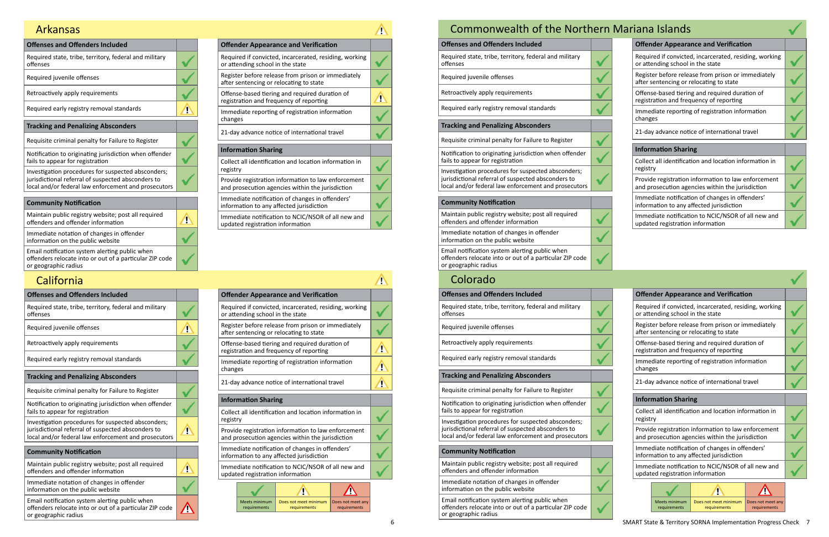| <b>Offenses and Offenders Included</b>                                                                                                                           |  |
|------------------------------------------------------------------------------------------------------------------------------------------------------------------|--|
| Required state, tribe, territory, federal and military<br>offenses                                                                                               |  |
| Required juvenile offenses                                                                                                                                       |  |
| Retroactively apply requirements                                                                                                                                 |  |
| Required early registry removal standards                                                                                                                        |  |
|                                                                                                                                                                  |  |
| <b>Tracking and Penalizing Absconders</b>                                                                                                                        |  |
| Requisite criminal penalty for Failure to Register                                                                                                               |  |
| Notification to originating jurisdiction when offender<br>fails to appear for registration                                                                       |  |
| Investigation procedures for suspected absconders;<br>jurisdictional referral of suspected absconders to<br>local and/or federal law enforcement and prosecutors |  |
|                                                                                                                                                                  |  |

| <b>Offender Appearance and Verification</b>                                                             |  |
|---------------------------------------------------------------------------------------------------------|--|
| Required if convicted, incarcerated, residing, working<br>or attending school in the state              |  |
| Register before release from prison or immediately<br>after sentencing or relocating to state           |  |
| Offense-based tiering and required duration of<br>registration and frequency of reporting               |  |
| Immediate reporting of registration information<br>changes                                              |  |
| 21-day advance notice of international travel                                                           |  |
| <b>Information Sharing</b>                                                                              |  |
| Collect all identification and location information in<br>registry                                      |  |
| Provide registration information to law enforcement<br>and prosecution agencies within the jurisdiction |  |
| Immediate notification of changes in offenders'<br>information to any affected jurisdiction             |  |
| Immediate notification to NCIC/NSOR of all new and<br>updated registration information                  |  |

| <b>Community Notification</b>                                                                                                     |  |
|-----------------------------------------------------------------------------------------------------------------------------------|--|
| Maintain public registry website; post all required<br>offenders and offender information                                         |  |
| Immediate notation of changes in offender<br>information on the public website                                                    |  |
| Email notification system alerting public when<br>offenders relocate into or out of a particular ZIP code<br>or geographic radius |  |

## **California**

### Arkansas

| <b>Offenses and Offenders Included</b>                                                                     |                             | <b>Offender Appearance and Verification</b>                                                    |
|------------------------------------------------------------------------------------------------------------|-----------------------------|------------------------------------------------------------------------------------------------|
| Required state, tribe, territory, federal and military<br>offenses                                         |                             | Required if convicted, incarcerated, residing,<br>or attending school in the state             |
| Required juvenile offenses                                                                                 | Τ                           | Register before release from prison or immed<br>after sentencing or relocating to state        |
| Retroactively apply requirements                                                                           |                             | Offense-based tiering and required duration<br>registration and frequency of reporting         |
| Required early registry removal standards                                                                  |                             | Immediate reporting of registration informat<br>changes                                        |
| <b>Tracking and Penalizing Absconders</b>                                                                  |                             |                                                                                                |
| Requisite criminal penalty for Failure to Register                                                         |                             | 21-day advance notice of international travel                                                  |
|                                                                                                            |                             |                                                                                                |
|                                                                                                            |                             | <b>Information Sharing</b>                                                                     |
| Notification to originating jurisdiction when offender<br>fails to appear for registration                 |                             | Collect all identification and location informa                                                |
| Investigation procedures for suspected absconders;                                                         |                             | registry                                                                                       |
| jurisdictional referral of suspected absconders to<br>local and/or federal law enforcement and prosecutors | $\sqrt{2}$                  | Provide registration information to law enfor<br>and prosecution agencies within the jurisdict |
| <b>Community Notification</b>                                                                              |                             | Immediate notification of changes in offende<br>information to any affected jurisdiction       |
| Maintain public registry website; post all required<br>offenders and offender information                  | $\mathbf{\mathbf{\Lambda}}$ | Immediate notification to NCIC/NSOR of all n<br>updated registration information               |

Email notification system alerting public when  $\Lambda$ offenders relocate into or out of a particular ZIP code or geographic radius

| Aariana Islands                                                                                         |  |
|---------------------------------------------------------------------------------------------------------|--|
| <b>Offender Appearance and Verification</b>                                                             |  |
| Required if convicted, incarcerated, residing, working<br>or attending school in the state              |  |
| Register before release from prison or immediately<br>after sentencing or relocating to state           |  |
| Offense-based tiering and required duration of<br>registration and frequency of reporting               |  |
| Immediate reporting of registration information<br>changes                                              |  |
| 21-day advance notice of international travel                                                           |  |
| <b>Information Sharing</b>                                                                              |  |
| Collect all identification and location information in<br>registry                                      |  |
| Provide registration information to law enforcement<br>and prosecution agencies within the jurisdiction |  |
| Immediate notification of changes in offenders'<br>information to any affected jurisdiction             |  |
| Immediate notification to NCIC/NSOR of all new and<br>updated registration information                  |  |

| <b>Offender Appearance and Verification</b>                                                             |  |  |  |  |
|---------------------------------------------------------------------------------------------------------|--|--|--|--|
| Required if convicted, incarcerated, residing, working<br>or attending school in the state              |  |  |  |  |
| Register before release from prison or immediately<br>after sentencing or relocating to state           |  |  |  |  |
| Offense-based tiering and required duration of<br>registration and frequency of reporting               |  |  |  |  |
| Immediate reporting of registration information<br>changes                                              |  |  |  |  |
| 21-day advance notice of international travel                                                           |  |  |  |  |
| <b>Information Sharing</b>                                                                              |  |  |  |  |
|                                                                                                         |  |  |  |  |
| Collect all identification and location information in<br>registry                                      |  |  |  |  |
| Provide registration information to law enforcement<br>and prosecution agencies within the jurisdiction |  |  |  |  |
| Immediate notification of changes in offenders'<br>information to any affected jurisdiction             |  |  |  |  |
| Immediate notification to NCIC/NSOR of all new and<br>updated registration information                  |  |  |  |  |
|                                                                                                         |  |  |  |  |

# Ith of the Northern M

| Commonwealth of the Northe                                                                                                                                       |  |
|------------------------------------------------------------------------------------------------------------------------------------------------------------------|--|
| <b>Offenses and Offenders Included</b>                                                                                                                           |  |
| Required state, tribe, territory, federal and military<br>offenses                                                                                               |  |
| Required juvenile offenses                                                                                                                                       |  |
| Retroactively apply requirements                                                                                                                                 |  |
| Required early registry removal standards                                                                                                                        |  |
| <b>Tracking and Penalizing Absconders</b>                                                                                                                        |  |
| Requisite criminal penalty for Failure to Register                                                                                                               |  |
| Notification to originating jurisdiction when offender<br>fails to appear for registration                                                                       |  |
| Investigation procedures for suspected absconders;<br>jurisdictional referral of suspected absconders to<br>local and/or federal law enforcement and prosecutors |  |
| <b>Community Notification</b>                                                                                                                                    |  |
| Maintain public registry website; post all required<br>offenders and offender information                                                                        |  |
| Immediate notation of changes in offender<br>information on the public website                                                                                   |  |
| Email notification system alerting public when<br>offenders relocate into or out of a particular ZIP code<br>or geographic radius                                |  |
| Colorado                                                                                                                                                         |  |
| <b>Offenses and Offenders Included</b>                                                                                                                           |  |
| Required state, tribe, territory, federal and military<br>offenses                                                                                               |  |
| Required juvenile offenses                                                                                                                                       |  |
| Retroactively apply requirements                                                                                                                                 |  |
|                                                                                                                                                                  |  |

#### **Tracking and Penalizing Absconders**

Requisite criminal penalty for Failure to Register

Notification to originating jurisdiction when offender fails to appear for registration

| <b>Offender Appearance and Verification</b>                                                             |  |  |
|---------------------------------------------------------------------------------------------------------|--|--|
| Required if convicted, incarcerated, residing, working<br>or attending school in the state              |  |  |
| Register before release from prison or immediately<br>after sentencing or relocating to state           |  |  |
| Offense-based tiering and required duration of<br>registration and frequency of reporting               |  |  |
| Immediate reporting of registration information<br>changes                                              |  |  |
| 21-day advance notice of international travel                                                           |  |  |
| <b>Information Sharing</b>                                                                              |  |  |
| Collect all identification and location information in<br>registry                                      |  |  |
| Provide registration information to law enforcement<br>and prosecution agencies within the jurisdiction |  |  |
| Immediate notification of changes in offenders'<br>information to any affected jurisdiction             |  |  |
| Immediate notification to NCIC/NSOR of all new and<br>updated registration information                  |  |  |
|                                                                                                         |  |  |

Investigation procedures for suspected absconders; jurisdictional referral of suspected absconders to local and/or federal law enforcement and prosecutors

#### **Community Notification**

Maintain public registry website; post all required offenders and offender information

Immediate notation of changes in offender information on the public website

Email notification system alerting public when offenders relocate into or out of a particular ZIP code or geographic radius

Meets minimum requirements

V

Does not meet minimum Does not meet any

requirements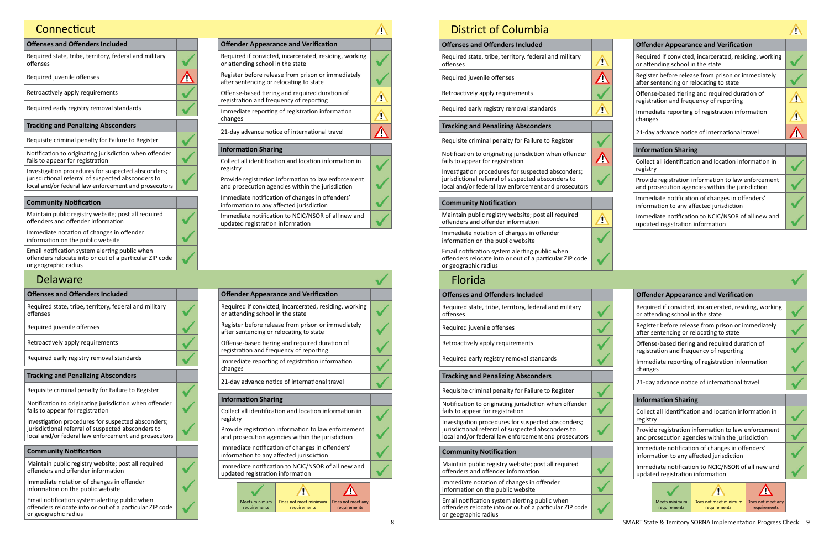## **Connecticut**

| <b>Offenses and Offenders Included</b>                                                                                                                           |  |
|------------------------------------------------------------------------------------------------------------------------------------------------------------------|--|
| Required state, tribe, territory, federal and military<br>offenses                                                                                               |  |
| Required juvenile offenses                                                                                                                                       |  |
| Retroactively apply requirements                                                                                                                                 |  |
| Required early registry removal standards                                                                                                                        |  |
| <b>Tracking and Penalizing Absconders</b>                                                                                                                        |  |
| Requisite criminal penalty for Failure to Register                                                                                                               |  |
| Notification to originating jurisdiction when offender<br>fails to appear for registration                                                                       |  |
| Investigation procedures for suspected absconders;<br>jurisdictional referral of suspected absconders to<br>local and/or federal law enforcement and prosecutors |  |
|                                                                                                                                                                  |  |
| <b>Community Notification</b>                                                                                                                                    |  |
|                                                                                                                                                                  |  |

| <b>Offender Appearance and Verification</b>                                                             |  |
|---------------------------------------------------------------------------------------------------------|--|
| Required if convicted, incarcerated, residing, working<br>or attending school in the state              |  |
| Register before release from prison or immediately<br>after sentencing or relocating to state           |  |
| Offense-based tiering and required duration of<br>registration and frequency of reporting               |  |
| Immediate reporting of registration information<br>changes                                              |  |
| 21-day advance notice of international travel                                                           |  |
| <b>Information Sharing</b>                                                                              |  |
| Collect all identification and location information in<br>registry                                      |  |
| Provide registration information to law enforcement<br>and prosecution agencies within the jurisdiction |  |
|                                                                                                         |  |

Immediate notification of changes in offenders' information to any affected jurisdiction Immediate notification to NCIC/NSOR of all new and

updated registration information

| Maintain public registry website; post all required<br>offenders and offender information                                         |
|-----------------------------------------------------------------------------------------------------------------------------------|
| Immediate notation of changes in offender<br>information on the public website                                                    |
| Email notification system alerting public when<br>offenders relocate into or out of a particular ZIP code<br>or geographic radius |

| <b>Offenses and Offenders Included</b>                                                                     |  |                                                                                        |                                      | <b>Offender Appearance and Verification</b>                                                    |                          |
|------------------------------------------------------------------------------------------------------------|--|----------------------------------------------------------------------------------------|--------------------------------------|------------------------------------------------------------------------------------------------|--------------------------|
| Required state, tribe, territory, federal and military<br>offenses                                         |  |                                                                                        | or attending school in the state     | Required if convicted, incarcerated, residing,                                                 |                          |
| Required juvenile offenses                                                                                 |  |                                                                                        |                                      | Register before release from prison or immer<br>after sentencing or relocating to state        |                          |
| Retroactively apply requirements                                                                           |  | Offense-based tiering and required duration<br>registration and frequency of reporting |                                      |                                                                                                |                          |
| Required early registry removal standards                                                                  |  | changes                                                                                |                                      | Immediate reporting of registration informat                                                   |                          |
| <b>Tracking and Penalizing Absconders</b>                                                                  |  |                                                                                        |                                      |                                                                                                |                          |
| Requisite criminal penalty for Failure to Register                                                         |  |                                                                                        |                                      | 21-day advance notice of international travel                                                  |                          |
| Notification to originating jurisdiction when offender                                                     |  |                                                                                        | <b>Information Sharing</b>           |                                                                                                |                          |
| fails to appear for registration                                                                           |  |                                                                                        |                                      | Collect all identification and location informa                                                |                          |
| Investigation procedures for suspected absconders;                                                         |  | registry                                                                               |                                      |                                                                                                |                          |
| jurisdictional referral of suspected absconders to<br>local and/or federal law enforcement and prosecutors |  |                                                                                        |                                      | Provide registration information to law enfor<br>and prosecution agencies within the jurisdict |                          |
| <b>Community Notification</b>                                                                              |  |                                                                                        |                                      | Immediate notification of changes in offende<br>information to any affected jurisdiction       |                          |
| Maintain public registry website; post all required<br>offenders and offender information                  |  |                                                                                        | updated registration information     | Immediate notification to NCIC/NSOR of all n                                                   |                          |
| Immediate notation of changes in offender<br>information on the public website                             |  |                                                                                        |                                      |                                                                                                |                          |
| Email notification system alerting public when<br>offenders relocate into or out of a particular ZIP code  |  |                                                                                        | <b>Meets minimum</b><br>requirements | Does not meet minimum<br>requirements                                                          | Does <sub>1</sub><br>req |

or geographic radius

## Delaware

| <b>Offender Appearance and Verification</b>                                                             |  |
|---------------------------------------------------------------------------------------------------------|--|
| Required if convicted, incarcerated, residing, working<br>or attending school in the state              |  |
| Register before release from prison or immediately<br>after sentencing or relocating to state           |  |
| Offense-based tiering and required duration of<br>registration and frequency of reporting               |  |
| Immediate reporting of registration information<br>changes                                              |  |
| 21-day advance notice of international travel                                                           |  |
| <b>Information Sharing</b>                                                                              |  |
| Collect all identification and location information in<br>registry                                      |  |
| Provide registration information to law enforcement<br>and prosecution agencies within the jurisdiction |  |
| Immediate notification of changes in offenders'<br>information to any affected jurisdiction             |  |
| Immediate notification to NCIC/NSOR of all new and<br>updated registration information                  |  |

|                                                                                            |                                  | <b>Offender Appearance and Verification</b>                                                             |                   |  |
|--------------------------------------------------------------------------------------------|----------------------------------|---------------------------------------------------------------------------------------------------------|-------------------|--|
| Required if convicted, incarcerated, residing, working<br>or attending school in the state |                                  |                                                                                                         |                   |  |
|                                                                                            |                                  | Register before release from prison or immediately<br>after sentencing or relocating to state           |                   |  |
|                                                                                            |                                  | Offense-based tiering and required duration of<br>registration and frequency of reporting               |                   |  |
| changes                                                                                    |                                  | Immediate reporting of registration information                                                         |                   |  |
|                                                                                            |                                  | 21-day advance notice of international travel                                                           |                   |  |
|                                                                                            | <b>Information Sharing</b>       |                                                                                                         |                   |  |
|                                                                                            |                                  |                                                                                                         |                   |  |
| registry                                                                                   |                                  | Collect all identification and location information in                                                  |                   |  |
|                                                                                            |                                  | Provide registration information to law enforcement<br>and prosecution agencies within the jurisdiction |                   |  |
|                                                                                            |                                  | Immediate notification of changes in offenders'<br>information to any affected jurisdiction             |                   |  |
|                                                                                            | updated registration information | Immediate notification to NCIC/NSOR of all new and                                                      |                   |  |
|                                                                                            |                                  |                                                                                                         |                   |  |
|                                                                                            | <b>Meets minimum</b>             | Does not meet minimum                                                                                   | Does not meet any |  |

| <b>Offenses and Offenders Included</b>                                                                                                                           |            | <b>Offender Appearance and Verification</b>                                                                |
|------------------------------------------------------------------------------------------------------------------------------------------------------------------|------------|------------------------------------------------------------------------------------------------------------|
| Required state, tribe, territory, federal and military<br>offenses                                                                                               | Ţ          | Required if convicted, incarcerated, residing,<br>or attending school in the state                         |
| Required juvenile offenses                                                                                                                                       | <u>^</u>   | Register before release from prison or immed<br>after sentencing or relocating to state                    |
| Retroactively apply requirements                                                                                                                                 |            | Offense-based tiering and required duration<br>registration and frequency of reporting                     |
| Required early registry removal standards                                                                                                                        | 4          | Immediate reporting of registration informat<br>changes                                                    |
| <b>Tracking and Penalizing Absconders</b>                                                                                                                        |            |                                                                                                            |
| Requisite criminal penalty for Failure to Register                                                                                                               |            | 21-day advance notice of international travel                                                              |
| Notification to originating jurisdiction when offender<br>fails to appear for registration                                                                       | $\sqrt{2}$ | <b>Information Sharing</b><br>Collect all identification and location informa                              |
| Investigation procedures for suspected absconders;                                                                                                               |            | registry                                                                                                   |
| jurisdictional referral of suspected absconders to<br>local and/or federal law enforcement and prosecutors                                                       |            | Provide registration information to law enfor<br>and prosecution agencies within the jurisdict             |
| <b>Community Notification</b>                                                                                                                                    |            | Immediate notification of changes in offende<br>information to any affected jurisdiction                   |
| Maintain public registry website; post all required<br>offenders and offender information                                                                        | Ţ          | Immediate notification to NCIC/NSOR of all n<br>updated registration information                           |
| Immediate notation of changes in offender<br>information on the public website                                                                                   |            |                                                                                                            |
| Email notification system alerting public when<br>offenders relocate into or out of a particular ZIP code<br>or geographic radius                                |            |                                                                                                            |
| <b>Florida</b>                                                                                                                                                   |            |                                                                                                            |
| <b>Offenses and Offenders Included</b>                                                                                                                           |            | <b>Offender Appearance and Verification</b>                                                                |
| Required state, tribe, territory, federal and military<br>offenses                                                                                               |            | Required if convicted, incarcerated, residing,<br>or attending school in the state                         |
| Required juvenile offenses                                                                                                                                       |            | Register before release from prison or immed<br>after sentencing or relocating to state                    |
| Retroactively apply requirements                                                                                                                                 |            | Offense-based tiering and required duration<br>registration and frequency of reporting                     |
| Required early registry removal standards                                                                                                                        |            | Immediate reporting of registration informat<br>changes                                                    |
| <b>Tracking and Penalizing Absconders</b>                                                                                                                        |            |                                                                                                            |
| Requisite criminal penalty for Failure to Register                                                                                                               |            | 21-day advance notice of international travel                                                              |
| Notification to originating jurisdiction when offender<br>fails to appear for registration                                                                       |            | <b>Information Sharing</b><br>Collect all identification and location informa                              |
| Investigation procedures for suspected absconders;<br>jurisdictional referral of suspected absconders to<br>local and/or federal law enforcement and prosecutors |            | registry<br>Provide registration information to law enfor<br>and prosecution agencies within the jurisdict |
| <b>Community Notification</b>                                                                                                                                    |            | Immediate notification of changes in offende                                                               |
| Maintain public registry website; post all required<br>offenders and offender information                                                                        |            | information to any affected jurisdiction<br>Immediate notification to NCIC/NSOR of all n                   |
| Immediate notation of changes in offender<br>information on the public website                                                                                   |            | updated registration information                                                                           |
| Email notification system alerting public when                                                                                                                   |            | <b>Meets minimum</b><br>Does not meet minimum<br>Does                                                      |
| offenders relocate into or out of a particular ZIP code                                                                                                          |            | requirements<br>requirements<br>req                                                                        |

 $\vert$  or geographic radius

## District of Columbia

| <b>Offender Appearance and Verification</b><br>Required if convicted, incarcerated, residing, working                             |  |  |  |  |
|-----------------------------------------------------------------------------------------------------------------------------------|--|--|--|--|
| or attending school in the state<br>Register before release from prison or immediately<br>after sentencing or relocating to state |  |  |  |  |
| Offense-based tiering and required duration of<br>registration and frequency of reporting                                         |  |  |  |  |
| Immediate reporting of registration information<br>changes                                                                        |  |  |  |  |
|                                                                                                                                   |  |  |  |  |
| 21-day advance notice of international travel                                                                                     |  |  |  |  |
| <b>Information Sharing</b>                                                                                                        |  |  |  |  |
| Collect all identification and location information in<br>registry                                                                |  |  |  |  |
| Provide registration information to law enforcement<br>and prosecution agencies within the jurisdiction                           |  |  |  |  |
| Immediate notification of changes in offenders'<br>information to any affected jurisdiction                                       |  |  |  |  |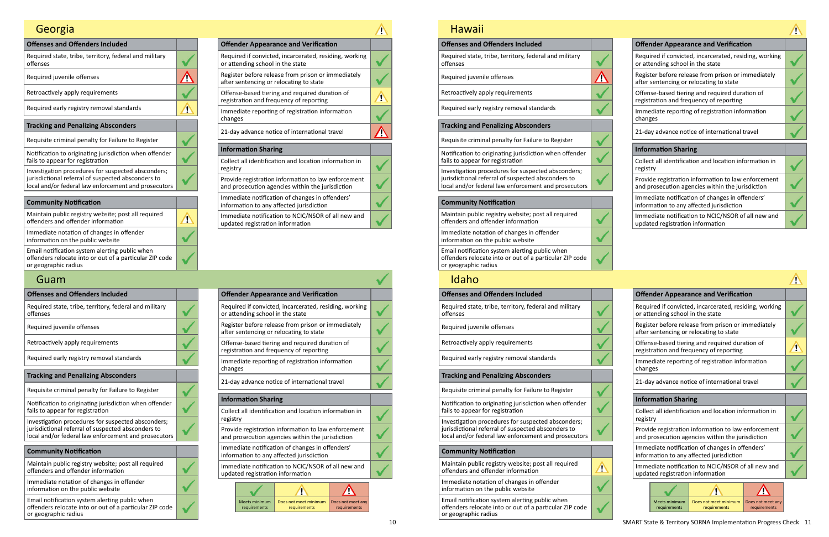| <b>Offender Appearance and Verification</b>                                                             |  |
|---------------------------------------------------------------------------------------------------------|--|
| Required if convicted, incarcerated, residing, working<br>or attending school in the state              |  |
| Register before release from prison or immediately<br>after sentencing or relocating to state           |  |
| Offense-based tiering and required duration of<br>registration and frequency of reporting               |  |
| Immediate reporting of registration information<br>changes                                              |  |
| 21-day advance notice of international travel                                                           |  |
| <b>Information Sharing</b>                                                                              |  |
| Collect all identification and location information in<br>registry                                      |  |
| Provide registration information to law enforcement<br>and prosecution agencies within the jurisdiction |  |
|                                                                                                         |  |

| Investigation procedures for suspected absconders;   |
|------------------------------------------------------|
| jurisdictional referral of suspected absconders to   |
| local and/or federal law enforcement and prosecutors |
|                                                      |

Immediate notification of changes in offenders' information to any affected jurisdiction

Immediate notification to NCIC/NSOR of all new and updated registration information

| <b>Community Notification</b>                                                                                                     |  |
|-----------------------------------------------------------------------------------------------------------------------------------|--|
| Maintain public registry website; post all required<br>offenders and offender information                                         |  |
| Immediate notation of changes in offender<br>information on the public website                                                    |  |
| Email notification system alerting public when<br>offenders relocate into or out of a particular ZIP code<br>or geographic radius |  |

N

# Georgia

| <b>Offenses and Offenders Included</b>                                                                     |  |  | <b>Offender Appearance and Verification</b>                                                    |
|------------------------------------------------------------------------------------------------------------|--|--|------------------------------------------------------------------------------------------------|
| Required state, tribe, territory, federal and military<br>offenses                                         |  |  | Required if convicted, incarcerated, residing,<br>or attending school in the state             |
| Required juvenile offenses                                                                                 |  |  | Register before release from prison or immed<br>after sentencing or relocating to state        |
| Retroactively apply requirements                                                                           |  |  | Offense-based tiering and required duration<br>registration and frequency of reporting         |
| Required early registry removal standards                                                                  |  |  | Immediate reporting of registration informat<br>changes                                        |
| <b>Tracking and Penalizing Absconders</b>                                                                  |  |  |                                                                                                |
| Requisite criminal penalty for Failure to Register                                                         |  |  | 21-day advance notice of international travel                                                  |
| Notification to originating jurisdiction when offender                                                     |  |  | <b>Information Sharing</b>                                                                     |
| fails to appear for registration                                                                           |  |  | Collect all identification and location informa                                                |
| Investigation procedures for suspected absconders;                                                         |  |  | registry                                                                                       |
| jurisdictional referral of suspected absconders to<br>local and/or federal law enforcement and prosecutors |  |  | Provide registration information to law enfor<br>and prosecution agencies within the jurisdict |
| <b>Community Notification</b>                                                                              |  |  | Immediate notification of changes in offende<br>information to any affected jurisdiction       |
| Maintain public registry website; post all required<br>offenders and offender information                  |  |  | Immediate notification to NCIC/NSOR of all n<br>updated registration information               |
| Immediate notation of changes in offender<br>information on the public website                             |  |  |                                                                                                |
| Email notification system alerting public when                                                             |  |  | <b>Meets minimum</b><br>Does not meet minimum<br>Does n                                        |

| or geographic radius                                    |
|---------------------------------------------------------|
| offenders relocate into or out of a particular ZIP code |
| Lindii notincation system alerting public writer        |

## Guam

| <b>Offender Appearance and Verification</b>                                                             |  |
|---------------------------------------------------------------------------------------------------------|--|
| Required if convicted, incarcerated, residing, working<br>or attending school in the state              |  |
| Register before release from prison or immediately<br>after sentencing or relocating to state           |  |
| Offense-based tiering and required duration of<br>registration and frequency of reporting               |  |
| Immediate reporting of registration information<br>changes                                              |  |
| 21-day advance notice of international travel                                                           |  |
| <b>Information Sharing</b>                                                                              |  |
| Collect all identification and location information in<br>registry                                      |  |
| Provide registration information to law enforcement<br>and prosecution agencies within the jurisdiction |  |
| Immediate notification of changes in offenders'                                                         |  |

|          |                                  | <b>Offender Appearance and Verification</b>                                                             |                   |  |
|----------|----------------------------------|---------------------------------------------------------------------------------------------------------|-------------------|--|
|          | or attending school in the state | Required if convicted, incarcerated, residing, working                                                  |                   |  |
|          |                                  | Register before release from prison or immediately<br>after sentencing or relocating to state           |                   |  |
|          |                                  | Offense-based tiering and required duration of<br>registration and frequency of reporting               |                   |  |
| changes  |                                  | Immediate reporting of registration information                                                         |                   |  |
|          |                                  | 21-day advance notice of international travel                                                           |                   |  |
|          | <b>Information Sharing</b>       |                                                                                                         |                   |  |
| registry |                                  | Collect all identification and location information in                                                  |                   |  |
|          |                                  | Provide registration information to law enforcement<br>and prosecution agencies within the jurisdiction |                   |  |
|          |                                  | Immediate notification of changes in offenders'<br>information to any affected jurisdiction             |                   |  |
|          | updated registration information | Immediate notification to NCIC/NSOR of all new and                                                      |                   |  |
|          |                                  |                                                                                                         |                   |  |
|          | Meets minimum                    | Does not meet minimum                                                                                   | Does not meet any |  |
|          |                                  |                                                                                                         | requirements      |  |

information to any affected jurisdiction Immediate notification to NCIC/NSOR of all new and updated registration information

| <b>Hawaii</b>                                                                                                                     |                                                                                                |
|-----------------------------------------------------------------------------------------------------------------------------------|------------------------------------------------------------------------------------------------|
| <b>Offenses and Offenders Included</b>                                                                                            | <b>Offender Appearance and Verification</b>                                                    |
| Required state, tribe, territory, federal and military<br>offenses                                                                | Required if convicted, incarcerated, residing,<br>or attending school in the state             |
| Required juvenile offenses                                                                                                        | Register before release from prison or immed<br>after sentencing or relocating to state        |
| Retroactively apply requirements                                                                                                  | Offense-based tiering and required duration<br>registration and frequency of reporting         |
| Required early registry removal standards                                                                                         | Immediate reporting of registration informat<br>changes                                        |
| <b>Tracking and Penalizing Absconders</b>                                                                                         | 21-day advance notice of international travel                                                  |
| Requisite criminal penalty for Failure to Register                                                                                |                                                                                                |
| Notification to originating jurisdiction when offender<br>fails to appear for registration                                        | <b>Information Sharing</b><br>Collect all identification and location informa                  |
| Investigation procedures for suspected absconders;                                                                                | registry                                                                                       |
| jurisdictional referral of suspected absconders to<br>local and/or federal law enforcement and prosecutors                        | Provide registration information to law enfor<br>and prosecution agencies within the jurisdict |
| <b>Community Notification</b>                                                                                                     | Immediate notification of changes in offende<br>information to any affected jurisdiction       |
| Maintain public registry website; post all required<br>offenders and offender information                                         | Immediate notification to NCIC/NSOR of all n<br>updated registration information               |
| Immediate notation of changes in offender<br>information on the public website                                                    |                                                                                                |
| Email notification system alerting public when<br>offenders relocate into or out of a particular ZIP code<br>or geographic radius |                                                                                                |
| Idaho                                                                                                                             |                                                                                                |
| <b>Offenses and Offenders Included</b>                                                                                            | <b>Offender Appearance and Verification</b>                                                    |
| Required state, tribe, territory, federal and military<br>offenses                                                                | Required if convicted, incarcerated, residing,<br>or attending school in the state             |
| Required juvenile offenses                                                                                                        | Register before release from prison or immed<br>after sentencing or relocating to state        |
| Retroactively apply requirements                                                                                                  | Offense-based tiering and required duration<br>registration and frequency of reporting         |
| Required early registry removal standards                                                                                         | Immediate reporting of registration informat<br>changes                                        |
| <b>Tracking and Penalizing Absconders</b>                                                                                         | 21-day advance notice of international travel                                                  |
| Requisite criminal penalty for Failure to Register                                                                                |                                                                                                |
| Notification to originating jurisdiction when offender                                                                            | <b>Information Sharing</b>                                                                     |
| fails to appear for registration<br>Investigation procedures for suspected absconders;                                            | Collect all identification and location informa<br>registry                                    |
| jurisdictional referral of suspected absconders to<br>local and/or federal law enforcement and prosecutors                        | Provide registration information to law enfor<br>and prosecution agencies within the jurisdict |
| <b>Community Notification</b>                                                                                                     | Immediate notification of changes in offende<br>information to any affected jurisdiction       |
| Maintain public registry website; post all required<br>offenders and offender information                                         | Immediate notification to NCIC/NSOR of all n<br>updated registration information               |

| <b>Offender Appearance and Verification</b>                                                             |  |  |
|---------------------------------------------------------------------------------------------------------|--|--|
| Required if convicted, incarcerated, residing, working<br>or attending school in the state              |  |  |
| Register before release from prison or immediately<br>after sentencing or relocating to state           |  |  |
| Offense-based tiering and required duration of<br>registration and frequency of reporting               |  |  |
| Immediate reporting of registration information<br>changes                                              |  |  |
| 21-day advance notice of international travel                                                           |  |  |
| <b>Information Sharing</b>                                                                              |  |  |
| Collect all identification and location information in<br>registry                                      |  |  |
| Provide registration information to law enforcement<br>and prosecution agencies within the jurisdiction |  |  |
| Immediate notification of changes in offenders'<br>information to any affected jurisdiction             |  |  |
| Immediate notification to NCIC/NSOR of all new and<br>updated registration information                  |  |  |
|                                                                                                         |  |  |

Immediate notation of changes in offender information on the public website

Email notification system alerting public when offenders relocate into or out of a particular ZIP code or geographic radius

Meets minimum requirements

 $\checkmark$ 

Does not meet minimum requirements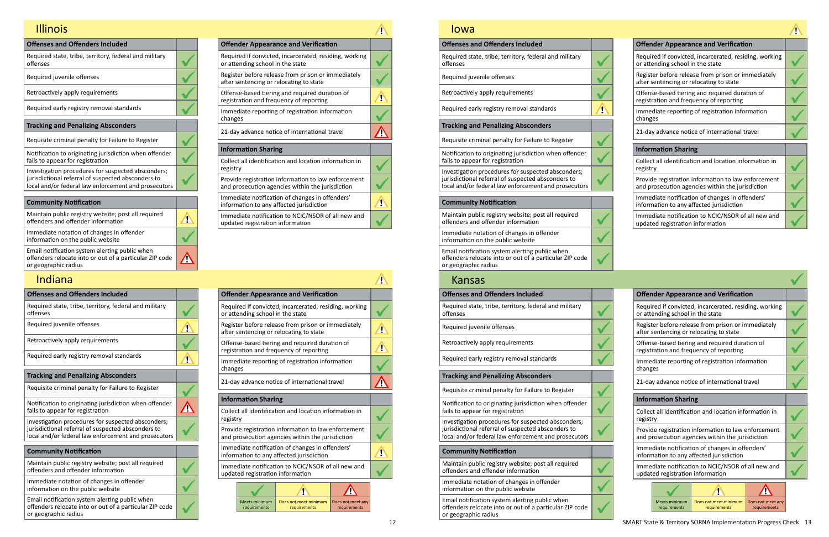| <b>Offenses and Offenders Included</b>                                                                                                                           |  |
|------------------------------------------------------------------------------------------------------------------------------------------------------------------|--|
| Required state, tribe, territory, federal and military<br>offenses                                                                                               |  |
| Required juvenile offenses                                                                                                                                       |  |
| Retroactively apply requirements                                                                                                                                 |  |
| Required early registry removal standards                                                                                                                        |  |
| <b>Tracking and Penalizing Absconders</b>                                                                                                                        |  |
| Requisite criminal penalty for Failure to Register                                                                                                               |  |
| Notification to originating jurisdiction when offender<br>fails to appear for registration                                                                       |  |
| Investigation procedures for suspected absconders;<br>jurisdictional referral of suspected absconders to<br>local and/or federal law enforcement and prosecutors |  |
| . ده کانام ۱۸ براز در ده د                                                                                                                                       |  |

п

<u>V</u>

| <b>Offender Appearance and Verification</b>                                                             |  |
|---------------------------------------------------------------------------------------------------------|--|
| Required if convicted, incarcerated, residing, working<br>or attending school in the state              |  |
| Register before release from prison or immediately<br>after sentencing or relocating to state           |  |
| Offense-based tiering and required duration of<br>registration and frequency of reporting               |  |
| Immediate reporting of registration information<br>changes                                              |  |
| 21-day advance notice of international travel                                                           |  |
| <b>Information Sharing</b>                                                                              |  |
| Collect all identification and location information in<br>registry                                      |  |
| Provide registration information to law enforcement<br>and prosecution agencies within the jurisdiction |  |
| Immediate notification of changes in offenders'<br>information to any affected jurisdiction             |  |
| Immediate notification to NCIC/NSOR of all new and<br>updated registration information                  |  |

| Community Nothication                                                                                                             |  |
|-----------------------------------------------------------------------------------------------------------------------------------|--|
| Maintain public registry website; post all required<br>offenders and offender information                                         |  |
| Immediate notation of changes in offender<br>information on the public website                                                    |  |
| Email notification system alerting public when<br>offenders relocate into or out of a particular ZIP code<br>or geographic radius |  |

## Illinois

| <b>Offenses and Offenders Included</b>                                                                                                                           |            |                                                                                          |          |                                  | <b>Offender Appearance and Verification</b>                                                    |                          |
|------------------------------------------------------------------------------------------------------------------------------------------------------------------|------------|------------------------------------------------------------------------------------------|----------|----------------------------------|------------------------------------------------------------------------------------------------|--------------------------|
| Required state, tribe, territory, federal and military<br>offenses                                                                                               |            |                                                                                          |          | or attending school in the state | Required if convicted, incarcerated, residing,                                                 |                          |
| Required juvenile offenses                                                                                                                                       | Ţ          | Register before release from prison or immed<br>after sentencing or relocating to state  |          |                                  |                                                                                                |                          |
| Retroactively apply requirements                                                                                                                                 |            | Offense-based tiering and required duration<br>registration and frequency of reporting   |          |                                  |                                                                                                |                          |
| Required early registry removal standards                                                                                                                        | Ţ          | Immediate reporting of registration informat<br>changes                                  |          |                                  |                                                                                                |                          |
| <b>Tracking and Penalizing Absconders</b>                                                                                                                        |            |                                                                                          |          |                                  |                                                                                                |                          |
| Requisite criminal penalty for Failure to Register                                                                                                               |            |                                                                                          |          |                                  | 21-day advance notice of international travel                                                  |                          |
| Notification to originating jurisdiction when offender                                                                                                           |            |                                                                                          |          | <b>Information Sharing</b>       |                                                                                                |                          |
| fails to appear for registration                                                                                                                                 | <u>/I)</u> |                                                                                          |          |                                  | Collect all identification and location informa                                                |                          |
| Investigation procedures for suspected absconders;<br>jurisdictional referral of suspected absconders to<br>local and/or federal law enforcement and prosecutors |            |                                                                                          | registry |                                  | Provide registration information to law enfor<br>and prosecution agencies within the jurisdict |                          |
| <b>Community Notification</b>                                                                                                                                    |            | Immediate notification of changes in offende<br>information to any affected jurisdiction |          |                                  |                                                                                                |                          |
| Maintain public registry website; post all required<br>offenders and offender information                                                                        |            | Immediate notification to NCIC/NSOR of all n<br>updated registration information         |          |                                  |                                                                                                |                          |
| Immediate notation of changes in offender<br>information on the public website                                                                                   |            |                                                                                          |          |                                  |                                                                                                |                          |
| Email notification system alerting public when<br>offenders relocate into or out of a particular ZIP code<br>or geographic radius                                |            |                                                                                          |          | Meets minimum<br>requirements    | Does not meet minimum<br>requirements                                                          | Does <sub>1</sub><br>req |

## Indiana

| <b>Offender Appearance and Verification</b>                                                             |  |
|---------------------------------------------------------------------------------------------------------|--|
| Required if convicted, incarcerated, residing, working<br>or attending school in the state              |  |
| Register before release from prison or immediately<br>after sentencing or relocating to state           |  |
| Offense-based tiering and required duration of<br>registration and frequency of reporting               |  |
| Immediate reporting of registration information<br>changes                                              |  |
| 21-day advance notice of international travel                                                           |  |
| <b>Information Sharing</b>                                                                              |  |
| Collect all identification and location information in<br>registry                                      |  |
| Provide registration information to law enforcement<br>and prosecution agencies within the jurisdiction |  |
| Immediate notification of changes in offenders'<br>information to any affected jurisdiction             |  |
| $Immod, to$ notification to $NCIC/NICOB$ of all now and                                                 |  |

|                                                                                                         |                                  | <b>Offender Appearance and Verification</b>                                                   |                   |  |
|---------------------------------------------------------------------------------------------------------|----------------------------------|-----------------------------------------------------------------------------------------------|-------------------|--|
|                                                                                                         | or attending school in the state | Required if convicted, incarcerated, residing, working                                        |                   |  |
|                                                                                                         |                                  | Register before release from prison or immediately<br>after sentencing or relocating to state |                   |  |
|                                                                                                         |                                  | Offense-based tiering and required duration of<br>registration and frequency of reporting     |                   |  |
| changes                                                                                                 |                                  | Immediate reporting of registration information                                               |                   |  |
| 21-day advance notice of international travel                                                           |                                  |                                                                                               |                   |  |
| <b>Information Sharing</b>                                                                              |                                  |                                                                                               |                   |  |
| Collect all identification and location information in<br>registry                                      |                                  |                                                                                               |                   |  |
| Provide registration information to law enforcement<br>and prosecution agencies within the jurisdiction |                                  |                                                                                               |                   |  |
| Immediate notification of changes in offenders'<br>information to any affected jurisdiction             |                                  |                                                                                               |                   |  |
| Immediate notification to NCIC/NSOR of all new and<br>updated registration information                  |                                  |                                                                                               |                   |  |
|                                                                                                         |                                  |                                                                                               |                   |  |
|                                                                                                         | <b>Meets minimum</b>             | Does not meet minimum                                                                         | Does not meet any |  |
|                                                                                                         | requirements                     | requirements                                                                                  | requirements      |  |
|                                                                                                         |                                  |                                                                                               |                   |  |

Immediate notification to NCIC/NSOR of all new and updated registration information

## Iowa

| IUWd                                                                                                                              |              |                                                                                        |          |                                  |                                                                                                |             |
|-----------------------------------------------------------------------------------------------------------------------------------|--------------|----------------------------------------------------------------------------------------|----------|----------------------------------|------------------------------------------------------------------------------------------------|-------------|
| <b>Offenses and Offenders Included</b>                                                                                            |              |                                                                                        |          |                                  | <b>Offender Appearance and Verification</b>                                                    |             |
| Required state, tribe, territory, federal and military<br>offenses                                                                |              |                                                                                        |          | or attending school in the state | Required if convicted, incarcerated, residing,                                                 |             |
| Required juvenile offenses                                                                                                        |              |                                                                                        |          |                                  | Register before release from prison or immed<br>after sentencing or relocating to state        |             |
| Retroactively apply requirements                                                                                                  |              |                                                                                        |          |                                  | Offense-based tiering and required duration<br>registration and frequency of reporting         |             |
| Required early registry removal standards                                                                                         | $\mathbf{r}$ |                                                                                        | changes  |                                  | Immediate reporting of registration informat                                                   |             |
| <b>Tracking and Penalizing Absconders</b>                                                                                         |              |                                                                                        |          |                                  | 21-day advance notice of international travel                                                  |             |
| Requisite criminal penalty for Failure to Register                                                                                |              |                                                                                        |          |                                  |                                                                                                |             |
| Notification to originating jurisdiction when offender<br>fails to appear for registration                                        |              |                                                                                        |          | <b>Information Sharing</b>       | Collect all identification and location informa                                                |             |
| Investigation procedures for suspected absconders;                                                                                |              |                                                                                        | registry |                                  |                                                                                                |             |
| jurisdictional referral of suspected absconders to<br>local and/or federal law enforcement and prosecutors                        |              |                                                                                        |          |                                  | Provide registration information to law enfor<br>and prosecution agencies within the jurisdict |             |
| <b>Community Notification</b>                                                                                                     |              |                                                                                        |          |                                  | Immediate notification of changes in offende<br>information to any affected jurisdiction       |             |
| Maintain public registry website; post all required<br>offenders and offender information                                         |              |                                                                                        |          | updated registration information | Immediate notification to NCIC/NSOR of all n                                                   |             |
| Immediate notation of changes in offender<br>information on the public website                                                    |              |                                                                                        |          |                                  |                                                                                                |             |
| Email notification system alerting public when<br>offenders relocate into or out of a particular ZIP code<br>or geographic radius |              |                                                                                        |          |                                  |                                                                                                |             |
| <b>Kansas</b>                                                                                                                     |              |                                                                                        |          |                                  |                                                                                                |             |
| <b>Offenses and Offenders Included</b>                                                                                            |              |                                                                                        |          |                                  | <b>Offender Appearance and Verification</b>                                                    |             |
| Required state, tribe, territory, federal and military<br>offenses                                                                |              |                                                                                        |          | or attending school in the state | Required if convicted, incarcerated, residing,                                                 |             |
| Required juvenile offenses                                                                                                        |              |                                                                                        |          |                                  | Register before release from prison or immed<br>after sentencing or relocating to state        |             |
| Retroactively apply requirements                                                                                                  |              | Offense-based tiering and required duration<br>registration and frequency of reporting |          |                                  |                                                                                                |             |
| Required early registry removal standards                                                                                         |              |                                                                                        | changes  |                                  | Immediate reporting of registration informat                                                   |             |
| <b>Tracking and Penalizing Absconders</b>                                                                                         |              |                                                                                        |          |                                  | 21-day advance notice of international travel                                                  |             |
| Requisite criminal penalty for Failure to Register                                                                                |              |                                                                                        |          |                                  |                                                                                                |             |
| Notification to originating jurisdiction when offender<br>fails to appear for registration                                        |              |                                                                                        |          | <b>Information Sharing</b>       | Collect all identification and location informa                                                |             |
| Investigation procedures for suspected absconders;                                                                                |              |                                                                                        | registry |                                  |                                                                                                |             |
| jurisdictional referral of suspected absconders to<br>local and/or federal law enforcement and prosecutors                        |              |                                                                                        |          |                                  | Provide registration information to law enfor<br>and prosecution agencies within the jurisdict |             |
| <b>Community Notification</b>                                                                                                     |              |                                                                                        |          |                                  | Immediate notification of changes in offende<br>information to any affected jurisdiction       |             |
| Maintain public registry website; post all required<br>offenders and offender information                                         |              |                                                                                        |          | updated registration information | Immediate notification to NCIC/NSOR of all n                                                   |             |
| Immediate notation of changes in offender<br>information on the public website                                                    |              |                                                                                        |          |                                  | Ţ                                                                                              |             |
| Email notification system alerting public when<br>offenders relocate into or out of a particular ZIP code<br>or geographic radius |              |                                                                                        |          | Meets minimum<br>requirements    | Does not meet minimum<br>requirements                                                          | Does<br>req |

| <b>Offender Appearance and Verification</b>                                                             |  |
|---------------------------------------------------------------------------------------------------------|--|
| Required if convicted, incarcerated, residing, working<br>or attending school in the state              |  |
| Register before release from prison or immediately<br>after sentencing or relocating to state           |  |
| Offense-based tiering and required duration of<br>registration and frequency of reporting               |  |
| Immediate reporting of registration information<br>changes                                              |  |
| 21-day advance notice of international travel                                                           |  |
| <b>Information Sharing</b>                                                                              |  |
| Collect all identification and location information in<br>registry                                      |  |
| Provide registration information to law enforcement<br>and prosecution agencies within the jurisdiction |  |
| Immediate notification of changes in offenders'<br>information to any affected jurisdiction             |  |
| Immediate notification to NCIC/NSOR of all new and<br>updated registration information                  |  |
|                                                                                                         |  |

Does not meet any requirements

 $\checkmark$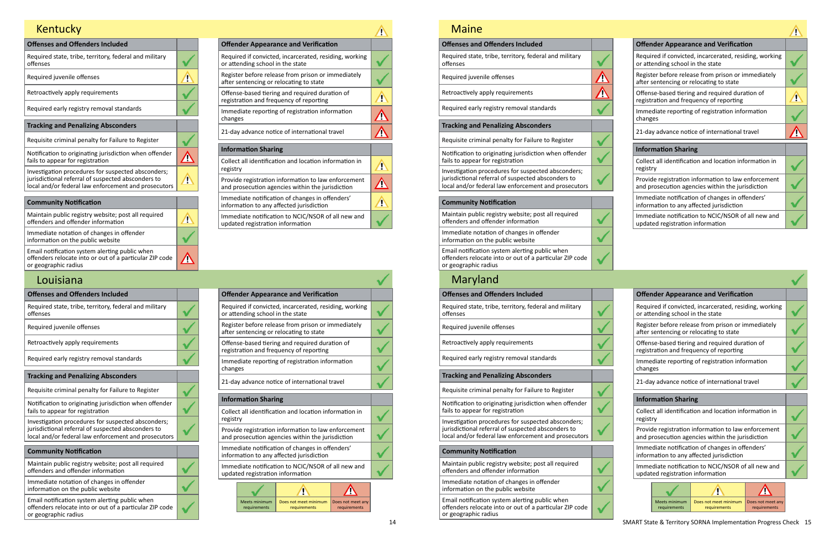| <b>Offenses and Offenders Included</b>                                                                                                                           |  |
|------------------------------------------------------------------------------------------------------------------------------------------------------------------|--|
| Required state, tribe, territory, federal and military<br>offenses                                                                                               |  |
| Required juvenile offenses                                                                                                                                       |  |
| Retroactively apply requirements                                                                                                                                 |  |
| Required early registry removal standards                                                                                                                        |  |
| <b>Tracking and Penalizing Absconders</b>                                                                                                                        |  |
| Requisite criminal penalty for Failure to Register                                                                                                               |  |
| Notification to originating jurisdiction when offender<br>fails to appear for registration                                                                       |  |
| Investigation procedures for suspected absconders;<br>jurisdictional referral of suspected absconders to<br>local and/or federal law enforcement and prosecutors |  |

| <b>Offender Appearance and Verification</b>                                                             |  |
|---------------------------------------------------------------------------------------------------------|--|
| Required if convicted, incarcerated, residing, working<br>or attending school in the state              |  |
| Register before release from prison or immediately<br>after sentencing or relocating to state           |  |
| Offense-based tiering and required duration of<br>registration and frequency of reporting               |  |
| Immediate reporting of registration information<br>changes                                              |  |
| 21-day advance notice of international travel                                                           |  |
| <b>Information Sharing</b>                                                                              |  |
| Collect all identification and location information in<br>registry                                      |  |
| Provide registration information to law enforcement<br>and prosecution agencies within the jurisdiction |  |
| Immediate notification of changes in offenders'<br>information to any affected jurisdiction             |  |
| Immediate notification to NCIC/NSOR of all new and<br>updated registration information                  |  |

| <b>Community Notification</b>                                                                                                     |  |
|-----------------------------------------------------------------------------------------------------------------------------------|--|
| Maintain public registry website; post all required<br>offenders and offender information                                         |  |
| Immediate notation of changes in offender<br>information on the public website                                                    |  |
| Email notification system alerting public when<br>offenders relocate into or out of a particular ZIP code<br>or geographic radius |  |

 $\blacktriangle$ 

 $\Delta$ 

# Kentucky

| <b>Offenses and Offenders Included</b>                                                                                            | <b>Offender Appearance and Verification</b>                                                               |
|-----------------------------------------------------------------------------------------------------------------------------------|-----------------------------------------------------------------------------------------------------------|
| Required state, tribe, territory, federal and military<br>offenses                                                                | Required if convicted, incarcerated, residing,<br>or attending school in the state                        |
| Required juvenile offenses                                                                                                        | Register before release from prison or immer<br>after sentencing or relocating to state                   |
| Retroactively apply requirements                                                                                                  | Offense-based tiering and required duration<br>registration and frequency of reporting                    |
| Required early registry removal standards                                                                                         | Immediate reporting of registration informat<br>changes                                                   |
| <b>Tracking and Penalizing Absconders</b>                                                                                         | 21-day advance notice of international travel                                                             |
| Requisite criminal penalty for Failure to Register                                                                                |                                                                                                           |
| Notification to originating jurisdiction when offender                                                                            | <b>Information Sharing</b>                                                                                |
| fails to appear for registration                                                                                                  | Collect all identification and location informa                                                           |
| Investigation procedures for suspected absconders;                                                                                | registry                                                                                                  |
| jurisdictional referral of suspected absconders to<br>local and/or federal law enforcement and prosecutors                        | Provide registration information to law enfor<br>and prosecution agencies within the jurisdict            |
| <b>Community Notification</b>                                                                                                     | Immediate notification of changes in offende<br>information to any affected jurisdiction                  |
| Maintain public registry website; post all required<br>offenders and offender information                                         | Immediate notification to NCIC/NSOR of all n<br>updated registration information                          |
| Immediate notation of changes in offender<br>information on the public website                                                    |                                                                                                           |
| Email notification system alerting public when<br>offenders relocate into or out of a particular ZIP code<br>or geographic radius | <b>Meets minimum</b><br>Does not meet minimum<br>Does <sub>1</sub><br>requirements<br>requirements<br>req |

## Louisiana

| <b>Offender Appearance and Verification</b>                                                             |  |
|---------------------------------------------------------------------------------------------------------|--|
| Required if convicted, incarcerated, residing, working<br>or attending school in the state              |  |
| Register before release from prison or immediately<br>after sentencing or relocating to state           |  |
| Offense-based tiering and required duration of<br>registration and frequency of reporting               |  |
| Immediate reporting of registration information<br>changes                                              |  |
| 21-day advance notice of international travel                                                           |  |
| <b>Information Sharing</b>                                                                              |  |
| Collect all identification and location information in<br>registry                                      |  |
| Provide registration information to law enforcement<br>and prosecution agencies within the jurisdiction |  |
| Immediate notification of changes in offenders'<br>information to any affected jurisdiction             |  |
| Immediate notification to NCIC/NSOR of all new and<br>updated registration information                  |  |

|         |                                                                                               | <b>Offender Appearance and Verification</b>                                                             |  |  |  |
|---------|-----------------------------------------------------------------------------------------------|---------------------------------------------------------------------------------------------------------|--|--|--|
|         | Required if convicted, incarcerated, residing, working<br>or attending school in the state    |                                                                                                         |  |  |  |
|         | Register before release from prison or immediately<br>after sentencing or relocating to state |                                                                                                         |  |  |  |
|         |                                                                                               | Offense-based tiering and required duration of<br>registration and frequency of reporting               |  |  |  |
| changes |                                                                                               | Immediate reporting of registration information                                                         |  |  |  |
|         |                                                                                               | 21-day advance notice of international travel                                                           |  |  |  |
|         | <b>Information Sharing</b>                                                                    |                                                                                                         |  |  |  |
|         | Collect all identification and location information in<br>registry                            |                                                                                                         |  |  |  |
|         |                                                                                               |                                                                                                         |  |  |  |
|         |                                                                                               | Provide registration information to law enforcement<br>and prosecution agencies within the jurisdiction |  |  |  |
|         |                                                                                               | Immediate notification of changes in offenders'<br>information to any affected jurisdiction             |  |  |  |
|         | updated registration information                                                              | Immediate notification to NCIC/NSOR of all new and                                                      |  |  |  |
|         |                                                                                               |                                                                                                         |  |  |  |

## Maine

| Maine                                                                                                                                                            |  |
|------------------------------------------------------------------------------------------------------------------------------------------------------------------|--|
| <b>Offenses and Offenders Included</b>                                                                                                                           |  |
| Required state, tribe, territory, federal and military<br>offenses                                                                                               |  |
| Required juvenile offenses                                                                                                                                       |  |
| Retroactively apply requirements                                                                                                                                 |  |
| Required early registry removal standards                                                                                                                        |  |
| <b>Tracking and Penalizing Absconders</b>                                                                                                                        |  |
| Requisite criminal penalty for Failure to Register                                                                                                               |  |
| Notification to originating jurisdiction when offender<br>fails to appear for registration                                                                       |  |
| Investigation procedures for suspected absconders;<br>jurisdictional referral of suspected absconders to<br>local and/or federal law enforcement and prosecutors |  |
| <b>Community Notification</b>                                                                                                                                    |  |
| Maintain public registry website; post all required<br>offenders and offender information                                                                        |  |
| Immediate notation of changes in offender<br>information on the public website                                                                                   |  |
| Email notification system alerting public when<br>offenders relocate into or out of a particular ZIP code<br>or geographic radius                                |  |
| Maryland                                                                                                                                                         |  |
| <b>Offenses and Offenders Included</b>                                                                                                                           |  |
|                                                                                                                                                                  |  |

| Required state, tribe, territory, federal and military<br>offenses                                         | Required if convicted, incarcerated, residing,<br>or attending school in the state             |
|------------------------------------------------------------------------------------------------------------|------------------------------------------------------------------------------------------------|
| Required juvenile offenses                                                                                 | Register before release from prison or immed<br>after sentencing or relocating to state        |
| Retroactively apply requirements                                                                           | Offense-based tiering and required duration<br>registration and frequency of reporting         |
| Required early registry removal standards                                                                  | Immediate reporting of registration informat<br>changes                                        |
| <b>Tracking and Penalizing Absconders</b>                                                                  |                                                                                                |
| Requisite criminal penalty for Failure to Register                                                         | 21-day advance notice of international travel                                                  |
| Notification to originating jurisdiction when offender                                                     | <b>Information Sharing</b>                                                                     |
| fails to appear for registration                                                                           | Collect all identification and location informa                                                |
| Investigation procedures for suspected absconders;                                                         | registry                                                                                       |
| jurisdictional referral of suspected absconders to<br>local and/or federal law enforcement and prosecutors | Provide registration information to law enfor<br>and prosecution agencies within the jurisdict |
|                                                                                                            | Immediate notification of changes in offende                                                   |

| <b>Offender Appearance and Verification</b>                                                             |  |  |  |  |
|---------------------------------------------------------------------------------------------------------|--|--|--|--|
| Required if convicted, incarcerated, residing, working<br>or attending school in the state              |  |  |  |  |
| Register before release from prison or immediately<br>after sentencing or relocating to state           |  |  |  |  |
| Offense-based tiering and required duration of<br>registration and frequency of reporting               |  |  |  |  |
| Immediate reporting of registration information<br>changes                                              |  |  |  |  |
| 21-day advance notice of international travel                                                           |  |  |  |  |
| <b>Information Sharing</b>                                                                              |  |  |  |  |
| Collect all identification and location information in<br>registry                                      |  |  |  |  |
| Provide registration information to law enforcement<br>and prosecution agencies within the jurisdiction |  |  |  |  |
| Immediate notification of changes in offenders'<br>information to any affected jurisdiction             |  |  |  |  |
| Immediate notification to NCIC/NSOR of all new and<br>updated registration information                  |  |  |  |  |
|                                                                                                         |  |  |  |  |

#### **Community Notification**

| Maintain public registry website; post all required |
|-----------------------------------------------------|
| offenders and offender information                  |

Immediate notation of changes in offender information on the public website

Email notification system alerting public when offenders relocate into or out of a particular ZIP code or geographic radius

Meets minimum requirements

 $\checkmark$ 

Does not meet minimum requirements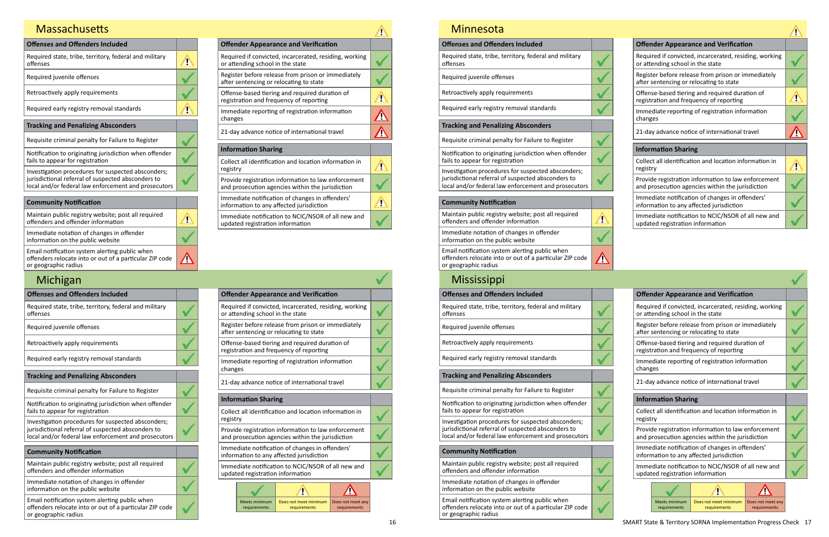| <b>Offenses and Offenders Included</b>                                                                                                                           |  |
|------------------------------------------------------------------------------------------------------------------------------------------------------------------|--|
| Required state, tribe, territory, federal and military<br>offenses                                                                                               |  |
| Required juvenile offenses                                                                                                                                       |  |
| Retroactively apply requirements                                                                                                                                 |  |
| Required early registry removal standards                                                                                                                        |  |
|                                                                                                                                                                  |  |
| <b>Tracking and Penalizing Absconders</b>                                                                                                                        |  |
| Requisite criminal penalty for Failure to Register                                                                                                               |  |
| Notification to originating jurisdiction when offender<br>fails to appear for registration                                                                       |  |
| Investigation procedures for suspected absconders;<br>jurisdictional referral of suspected absconders to<br>local and/or federal law enforcement and prosecutors |  |

| <b>Offender Appearance and Verification</b>                                                             |  |
|---------------------------------------------------------------------------------------------------------|--|
| Required if convicted, incarcerated, residing, working<br>or attending school in the state              |  |
| Register before release from prison or immediately<br>after sentencing or relocating to state           |  |
| Offense-based tiering and required duration of<br>registration and frequency of reporting               |  |
| Immediate reporting of registration information<br>changes                                              |  |
| 21-day advance notice of international travel                                                           |  |
| <b>Information Sharing</b>                                                                              |  |
| Collect all identification and location information in<br>registry                                      |  |
| Provide registration information to law enforcement<br>and prosecution agencies within the jurisdiction |  |
| Immediate notification of changes in offenders'<br>information to any affected jurisdiction             |  |
| Immediate notification to NCIC/NSOR of all new and<br>updated registration information                  |  |

| <b>Community Notification</b>                                                                                                     |  |
|-----------------------------------------------------------------------------------------------------------------------------------|--|
| Maintain public registry website; post all required<br>offenders and offender information                                         |  |
| Immediate notation of changes in offender<br>information on the public website                                                    |  |
| Email notification system alerting public when<br>offenders relocate into or out of a particular ZIP code<br>or geographic radius |  |
|                                                                                                                                   |  |

## Massachusetts

| <b>Offenses and Offenders Included</b>                                                                     | <b>Offender Appearance and Verification</b>                                                    |
|------------------------------------------------------------------------------------------------------------|------------------------------------------------------------------------------------------------|
| Required state, tribe, territory, federal and military<br>offenses                                         | Required if convicted, incarcerated, residing,<br>or attending school in the state             |
| Required juvenile offenses                                                                                 | Register before release from prison or immed<br>after sentencing or relocating to state        |
| Retroactively apply requirements                                                                           | Offense-based tiering and required duration<br>registration and frequency of reporting         |
| Required early registry removal standards                                                                  | Immediate reporting of registration informat<br>changes                                        |
| <b>Tracking and Penalizing Absconders</b>                                                                  | 21-day advance notice of international travel                                                  |
| Requisite criminal penalty for Failure to Register                                                         |                                                                                                |
|                                                                                                            |                                                                                                |
|                                                                                                            | <b>Information Sharing</b>                                                                     |
| Notification to originating jurisdiction when offender<br>fails to appear for registration                 | Collect all identification and location informa                                                |
| Investigation procedures for suspected absconders;                                                         | registry                                                                                       |
| jurisdictional referral of suspected absconders to<br>local and/or federal law enforcement and prosecutors | Provide registration information to law enfor<br>and prosecution agencies within the jurisdict |
| <b>Community Notification</b>                                                                              | Immediate notification of changes in offende<br>information to any affected jurisdiction       |
| Maintain public registry website; post all required<br>offenders and offender information                  | Immediate notification to NCIC/NSOR of all n<br>updated registration information               |

Email notification system alerting public when offenders relocate into or out of a particular ZIP code or geographic radius

 $\bullet$ 

## Michigan

| <b>Offender Appearance and Verification</b>                                                             |  |
|---------------------------------------------------------------------------------------------------------|--|
| Required if convicted, incarcerated, residing, working<br>or attending school in the state              |  |
| Register before release from prison or immediately<br>after sentencing or relocating to state           |  |
| Offense-based tiering and required duration of<br>registration and frequency of reporting               |  |
| Immediate reporting of registration information<br>changes                                              |  |
| 21-day advance notice of international travel                                                           |  |
| <b>Information Sharing</b>                                                                              |  |
| Collect all identification and location information in<br>registry                                      |  |
| Provide registration information to law enforcement<br>and prosecution agencies within the jurisdiction |  |
| Immediate notification of changes in offenders'<br>information to any affected jurisdiction             |  |
| Immediate notification to NCIC/NSOR of all new and<br>updated registration information                  |  |

|                                                                                                         |                                                                                               | <b>Offender Appearance and Verification</b>                                               |  |  |  |
|---------------------------------------------------------------------------------------------------------|-----------------------------------------------------------------------------------------------|-------------------------------------------------------------------------------------------|--|--|--|
| Required if convicted, incarcerated, residing, working<br>or attending school in the state              |                                                                                               |                                                                                           |  |  |  |
|                                                                                                         | Register before release from prison or immediately<br>after sentencing or relocating to state |                                                                                           |  |  |  |
|                                                                                                         |                                                                                               | Offense-based tiering and required duration of<br>registration and frequency of reporting |  |  |  |
| changes                                                                                                 |                                                                                               | Immediate reporting of registration information                                           |  |  |  |
|                                                                                                         |                                                                                               | 21-day advance notice of international travel                                             |  |  |  |
|                                                                                                         | <b>Information Sharing</b>                                                                    |                                                                                           |  |  |  |
| Collect all identification and location information in<br>registry                                      |                                                                                               |                                                                                           |  |  |  |
| Provide registration information to law enforcement<br>and prosecution agencies within the jurisdiction |                                                                                               |                                                                                           |  |  |  |
| Immediate notification of changes in offenders'<br>information to any affected jurisdiction             |                                                                                               |                                                                                           |  |  |  |
| Immediate notification to NCIC/NSOR of all new and<br>updated registration information                  |                                                                                               |                                                                                           |  |  |  |
|                                                                                                         |                                                                                               |                                                                                           |  |  |  |
|                                                                                                         |                                                                                               |                                                                                           |  |  |  |

| <b>Minnesota</b>                                                                                                                                                 |              |                                                                                                            |
|------------------------------------------------------------------------------------------------------------------------------------------------------------------|--------------|------------------------------------------------------------------------------------------------------------|
| <b>Offenses and Offenders Included</b>                                                                                                                           |              | <b>Offender Appearance and Verification</b>                                                                |
| Required state, tribe, territory, federal and military<br>offenses                                                                                               |              | Required if convicted, incarcerated, residing,<br>or attending school in the state                         |
| Required juvenile offenses                                                                                                                                       |              | Register before release from prison or immed<br>after sentencing or relocating to state                    |
| Retroactively apply requirements                                                                                                                                 |              | Offense-based tiering and required duration<br>registration and frequency of reporting                     |
| Required early registry removal standards                                                                                                                        |              | Immediate reporting of registration informat                                                               |
| <b>Tracking and Penalizing Absconders</b>                                                                                                                        |              | changes                                                                                                    |
| Requisite criminal penalty for Failure to Register                                                                                                               |              | 21-day advance notice of international travel                                                              |
| Notification to originating jurisdiction when offender<br>fails to appear for registration                                                                       |              | <b>Information Sharing</b><br>Collect all identification and location informa                              |
| Investigation procedures for suspected absconders;<br>jurisdictional referral of suspected absconders to<br>local and/or federal law enforcement and prosecutors |              | registry<br>Provide registration information to law enfor<br>and prosecution agencies within the jurisdict |
| <b>Community Notification</b>                                                                                                                                    |              | Immediate notification of changes in offende<br>information to any affected jurisdiction                   |
| Maintain public registry website; post all required<br>offenders and offender information                                                                        | $\mathbf{r}$ | Immediate notification to NCIC/NSOR of all n<br>updated registration information                           |
| Immediate notation of changes in offender<br>information on the public website                                                                                   |              |                                                                                                            |
| Email notification system alerting public when<br>offenders relocate into or out of a particular ZIP code<br>or geographic radius                                |              |                                                                                                            |
| <b>Mississippi</b>                                                                                                                                               |              |                                                                                                            |
| <b>Offenses and Offenders Included</b>                                                                                                                           |              | <b>Offender Appearance and Verification</b>                                                                |
| Required state, tribe, territory, federal and military<br>offenses                                                                                               |              | Required if convicted, incarcerated, residing,<br>or attending school in the state                         |
| Required juvenile offenses                                                                                                                                       |              | Register before release from prison or immed<br>after sentencing or relocating to state                    |
| Retroactively apply requirements                                                                                                                                 |              | Offense-based tiering and required duration<br>registration and frequency of reporting                     |
| Required early registry removal standards                                                                                                                        |              | Immediate reporting of registration informat<br>changes                                                    |
| <b>Tracking and Penalizing Absconders</b>                                                                                                                        |              | 21-day advance notice of international travel                                                              |
| Requisite criminal penalty for Failure to Register                                                                                                               |              |                                                                                                            |
| Notification to originating jurisdiction when offender                                                                                                           |              | <b>Information Sharing</b>                                                                                 |
| fails to appear for registration<br>Investigation procedures for suspected absconders;                                                                           |              | Collect all identification and location informa<br>registry                                                |
| jurisdictional referral of suspected absconders to<br>local and/or federal law enforcement and prosecutors                                                       |              | Provide registration information to law enfor<br>and prosecution agencies within the jurisdict             |
| <b>Community Notification</b>                                                                                                                                    |              | Immediate notification of changes in offende<br>information to any affected jurisdiction                   |
| Maintain public registry website; post all required<br>offenders and offender information                                                                        |              | Immediate notification to NCIC/NSOR of all n<br>undated registration information                           |

 $\checkmark$ 

## Minnesota

| <b>Offender Appearance and Verification</b>                                                             |  |  |
|---------------------------------------------------------------------------------------------------------|--|--|
| Required if convicted, incarcerated, residing, working<br>or attending school in the state              |  |  |
| Register before release from prison or immediately<br>after sentencing or relocating to state           |  |  |
| Offense-based tiering and required duration of<br>registration and frequency of reporting               |  |  |
| Immediate reporting of registration information<br>changes                                              |  |  |
| 21-day advance notice of international travel                                                           |  |  |
| <b>Information Sharing</b>                                                                              |  |  |
| Collect all identification and location information in<br>registry                                      |  |  |
| Provide registration information to law enforcement<br>and prosecution agencies within the jurisdiction |  |  |
| Immediate notification of changes in offenders'<br>information to any affected jurisdiction             |  |  |
| Immediate notification to NCIC/NSOR of all new and<br>updated registration information                  |  |  |
|                                                                                                         |  |  |

Immediate notation of changes in offender information on the public website

Email notification system alerting public when offenders relocate into or out of a particular ZIP code or geographic radius

Meets minimum requirements

Does not meet minimum requirements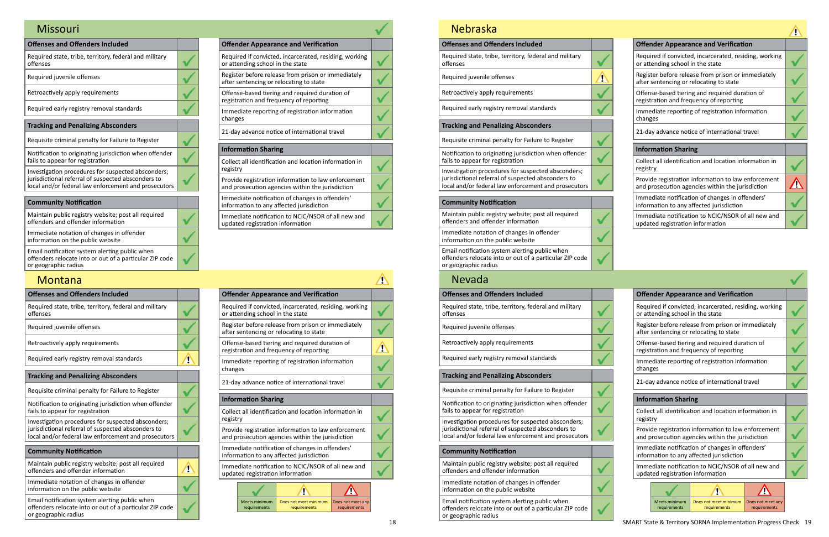| <b>Offender Appearance and Verification</b>                                                             |  |
|---------------------------------------------------------------------------------------------------------|--|
| Required if convicted, incarcerated, residing, working<br>or attending school in the state              |  |
| Register before release from prison or immediately<br>after sentencing or relocating to state           |  |
| Offense-based tiering and required duration of<br>registration and frequency of reporting               |  |
| Immediate reporting of registration information<br>changes                                              |  |
| 21-day advance notice of international travel                                                           |  |
| <b>Information Sharing</b>                                                                              |  |
| Collect all identification and location information in<br>registry                                      |  |
| Provide registration information to law enforcement<br>and prosecution agencies within the jurisdiction |  |
| Immediate notification of changes in offenders'<br>information to any affected jurisdiction             |  |
| $\mathbf{r}$ . The state of $\mathbf{r}$ is the state of $\mathbf{r}$                                   |  |

| <b>Offenses and Offenders Included</b>                                                                                                                           |  |
|------------------------------------------------------------------------------------------------------------------------------------------------------------------|--|
| Required state, tribe, territory, federal and military<br>offenses                                                                                               |  |
| Required juvenile offenses                                                                                                                                       |  |
| Retroactively apply requirements                                                                                                                                 |  |
| Required early registry removal standards                                                                                                                        |  |
| <b>Tracking and Penalizing Absconders</b>                                                                                                                        |  |
| Requisite criminal penalty for Failure to Register                                                                                                               |  |
| Notification to originating jurisdiction when offender<br>fails to appear for registration                                                                       |  |
| Investigation procedures for suspected absconders;<br>jurisdictional referral of suspected absconders to<br>local and/or federal law enforcement and prosecutors |  |
| <b>Community Notification</b>                                                                                                                                    |  |
|                                                                                                                                                                  |  |
| Maintain public registry website; post all required<br>offenders and offender information                                                                        |  |
| Immediate notation of changes in offender<br>information on the public website                                                                                   |  |

Immediate notification to NCIC/NSOR of all new and updated registration information

Email notification system alerting public when offenders relocate into or out of a particular ZIP code or geographic radius

#### **Montana**

#### Missouri

| <b>Offenses and Offenders Included</b>                                                                     |                       |                                                                                    |                                                                                                |                                      | <b>Offender Appearance and Verification</b>                                              |               |
|------------------------------------------------------------------------------------------------------------|-----------------------|------------------------------------------------------------------------------------|------------------------------------------------------------------------------------------------|--------------------------------------|------------------------------------------------------------------------------------------|---------------|
| Required state, tribe, territory, federal and military<br>offenses                                         |                       | Required if convicted, incarcerated, residing,<br>or attending school in the state |                                                                                                |                                      |                                                                                          |               |
| Required juvenile offenses                                                                                 |                       |                                                                                    | Register before release from prison or immed<br>after sentencing or relocating to state        |                                      |                                                                                          |               |
| Retroactively apply requirements                                                                           |                       |                                                                                    | Offense-based tiering and required duration<br>registration and frequency of reporting         |                                      |                                                                                          |               |
| Required early registry removal standards                                                                  | Ţ                     |                                                                                    | Immediate reporting of registration informat<br>changes                                        |                                      |                                                                                          |               |
| <b>Tracking and Penalizing Absconders</b>                                                                  |                       |                                                                                    |                                                                                                |                                      |                                                                                          |               |
| Requisite criminal penalty for Failure to Register                                                         |                       |                                                                                    |                                                                                                |                                      | 21-day advance notice of international travel                                            |               |
| Notification to originating jurisdiction when offender                                                     |                       |                                                                                    | <b>Information Sharing</b>                                                                     |                                      |                                                                                          |               |
| fails to appear for registration                                                                           |                       |                                                                                    | Collect all identification and location informa                                                |                                      |                                                                                          |               |
| Investigation procedures for suspected absconders;                                                         |                       |                                                                                    | registry                                                                                       |                                      |                                                                                          |               |
| jurisdictional referral of suspected absconders to<br>local and/or federal law enforcement and prosecutors |                       |                                                                                    | Provide registration information to law enfor<br>and prosecution agencies within the jurisdict |                                      |                                                                                          |               |
| <b>Community Notification</b>                                                                              |                       |                                                                                    |                                                                                                |                                      | Immediate notification of changes in offende<br>information to any affected jurisdiction |               |
| Maintain public registry website; post all required<br>offenders and offender information                  | $\mathbf{\mathbf{v}}$ |                                                                                    | Immediate notification to NCIC/NSOR of all n<br>updated registration information               |                                      |                                                                                          |               |
| Immediate notation of changes in offender<br>information on the public website                             |                       |                                                                                    |                                                                                                |                                      |                                                                                          |               |
| Email notification system alerting public when<br>offenders relocate into or out of a particular ZIP code  |                       |                                                                                    |                                                                                                | <b>Meets minimum</b><br>requirements | Does not meet minimum<br>requirements                                                    | Does r<br>req |

or geographic radius

18 SMART State & Territory SORNA Implementation Progress Check 19 requirements

| <b>Offenses and Offenders Included</b>                                                                                                                           |  |
|------------------------------------------------------------------------------------------------------------------------------------------------------------------|--|
| Required state, tribe, territory, federal and military<br>offenses                                                                                               |  |
| Required juvenile offenses                                                                                                                                       |  |
| Retroactively apply requirements                                                                                                                                 |  |
| Required early registry removal standards                                                                                                                        |  |
| <b>Tracking and Penalizing Absconders</b>                                                                                                                        |  |
|                                                                                                                                                                  |  |
| Requisite criminal penalty for Failure to Register                                                                                                               |  |
| Notification to originating jurisdiction when offender<br>fails to appear for registration                                                                       |  |
| Investigation procedures for suspected absconders;<br>jurisdictional referral of suspected absconders to<br>local and/or federal law enforcement and prosecutors |  |
| <b>Community Notification</b>                                                                                                                                    |  |

| <b>Offender Appearance and Verification</b>                                                             |  |
|---------------------------------------------------------------------------------------------------------|--|
| Required if convicted, incarcerated, residing, working<br>or attending school in the state              |  |
| Register before release from prison or immediately<br>after sentencing or relocating to state           |  |
| Offense-based tiering and required duration of<br>registration and frequency of reporting               |  |
| Immediate reporting of registration information<br>changes                                              |  |
| 21-day advance notice of international travel                                                           |  |
| <b>Information Sharing</b>                                                                              |  |
| Collect all identification and location information in<br>registry                                      |  |
| Provide registration information to law enforcement<br>and prosecution agencies within the jurisdiction |  |
| Immediate notification of changes in offenders'<br>information to any affected jurisdiction             |  |
| Immediate notification to NCIC/NSOR of all new and<br>updated registration information                  |  |

| <b>Offender Appearance and Verification</b>                                                             |                                      |                                                                                               |                                   |  |  |
|---------------------------------------------------------------------------------------------------------|--------------------------------------|-----------------------------------------------------------------------------------------------|-----------------------------------|--|--|
| Required if convicted, incarcerated, residing, working<br>or attending school in the state              |                                      |                                                                                               |                                   |  |  |
|                                                                                                         |                                      | Register before release from prison or immediately<br>after sentencing or relocating to state |                                   |  |  |
|                                                                                                         |                                      | Offense-based tiering and required duration of<br>registration and frequency of reporting     |                                   |  |  |
| changes                                                                                                 |                                      | Immediate reporting of registration information                                               |                                   |  |  |
|                                                                                                         |                                      | 21-day advance notice of international travel                                                 |                                   |  |  |
|                                                                                                         | <b>Information Sharing</b>           |                                                                                               |                                   |  |  |
| registry                                                                                                |                                      | Collect all identification and location information in                                        |                                   |  |  |
| Provide registration information to law enforcement<br>and prosecution agencies within the jurisdiction |                                      |                                                                                               |                                   |  |  |
| Immediate notification of changes in offenders'<br>information to any affected jurisdiction             |                                      |                                                                                               |                                   |  |  |
| Immediate notification to NCIC/NSOR of all new and<br>updated registration information                  |                                      |                                                                                               |                                   |  |  |
|                                                                                                         |                                      |                                                                                               |                                   |  |  |
|                                                                                                         |                                      |                                                                                               |                                   |  |  |
|                                                                                                         | <b>Meets minimum</b><br>requirements | Does not meet minimum<br>requirements                                                         | Does not meet any<br>requirements |  |  |

Maintain public registry website; post all required offenders and offender information

 $\checkmark$ 

 $\overline{\mathbf{v}}$ 

 $\checkmark$ 

Immediate notation of changes in offender information on the public website

Email notification system alerting public when offenders relocate into or out of a particular ZIP code or geographic radius

#### Nebraska

| <b>Offenses and Offenders Included</b>                             |  | <b>Offender Appearance and Verification</b>                                             |
|--------------------------------------------------------------------|--|-----------------------------------------------------------------------------------------|
| Required state, tribe, territory, federal and military<br>offenses |  | Required if convicted, incarcerated, residing,<br>or attending school in the state      |
| Required juvenile offenses                                         |  | Register before release from prison or immed<br>after sentencing or relocating to state |
| Retroactively apply requirements                                   |  | Offense-based tiering and required duration<br>registration and frequency of reporting  |
| Required early registry removal standards                          |  | Immediate reporting of registration informat<br>changes                                 |
| <b>Tracking and Penalizing Absconders</b>                          |  | 21-day advance notice of international travel                                           |
| Requisite criminal penalty for Failure to Register                 |  |                                                                                         |
| Notification to originating jurisdiction when offender             |  | <b>Information Sharing</b>                                                              |
| fails to appear for registration                                   |  | Collect all identification and location informa                                         |

| <b>Offender Appearance and Verification</b>                                                             |  |
|---------------------------------------------------------------------------------------------------------|--|
| Required if convicted, incarcerated, residing, working<br>or attending school in the state              |  |
| Register before release from prison or immediately<br>after sentencing or relocating to state           |  |
| Offense-based tiering and required duration of<br>registration and frequency of reporting               |  |
| Immediate reporting of registration information<br>changes                                              |  |
| 21-day advance notice of international travel                                                           |  |
| <b>Information Sharing</b>                                                                              |  |
| Collect all identification and location information in<br>registry                                      |  |
| Provide registration information to law enforcement<br>and prosecution agencies within the jurisdiction |  |
| Immediate notification of changes in offenders'<br>information to any affected jurisdiction             |  |
| Immediate notification to NCIC/NSOR of all new and<br>updated registration information                  |  |
|                                                                                                         |  |

Investigation procedures for suspected absconders; jurisdictional referral of suspected absconders to local and/or federal law enforcement and prosecutors

#### **Community Notification**

Maintain public registry website; post all required offenders and offender information

Immediate notation of changes in offender information on the public website

Email notification system alerting public when offenders relocate into or out of a particular ZIP code or geographic radius

#### Nevada

Meets minimum requirements

Does not meet minimum Does not meet any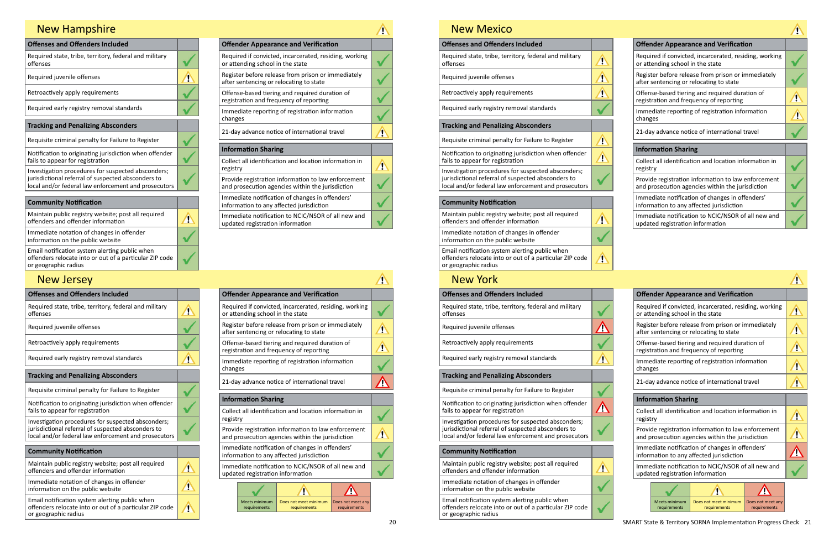| <b>Offender Appearance and Verification</b>                                                             |  |
|---------------------------------------------------------------------------------------------------------|--|
| Required if convicted, incarcerated, residing, working<br>or attending school in the state              |  |
| Register before release from prison or immediately<br>after sentencing or relocating to state           |  |
| Offense-based tiering and required duration of<br>registration and frequency of reporting               |  |
| Immediate reporting of registration information<br>changes                                              |  |
| 21-day advance notice of international travel                                                           |  |
| <b>Information Sharing</b>                                                                              |  |
| Collect all identification and location information in<br>registry                                      |  |
| Provide registration information to law enforcement<br>and prosecution agencies within the jurisdiction |  |
| Immediate notification of changes in offenders'<br>information to any affected jurisdiction             |  |
| Immediate notification to NCIC/NSOR of all new and<br>updated registration information                  |  |

| <b>Offenses and Offenders Included</b>                                                                                                                           |  |
|------------------------------------------------------------------------------------------------------------------------------------------------------------------|--|
| Required state, tribe, territory, federal and military<br>offenses                                                                                               |  |
| Required juvenile offenses                                                                                                                                       |  |
| Retroactively apply requirements                                                                                                                                 |  |
| Required early registry removal standards                                                                                                                        |  |
| <b>Tracking and Penalizing Absconders</b>                                                                                                                        |  |
| Requisite criminal penalty for Failure to Register                                                                                                               |  |
| Notification to originating jurisdiction when offender<br>fails to appear for registration                                                                       |  |
| Investigation procedures for suspected absconders;<br>jurisdictional referral of suspected absconders to<br>local and/or federal law enforcement and prosecutors |  |
| <b>Community Notification</b>                                                                                                                                    |  |
| Maintain public registry website; post all required<br>offenders and offender information                                                                        |  |
| Immediate notation of changes in offender<br>information on the public website                                                                                   |  |
| Email notification system alerting public when                                                                                                                   |  |

offenders relocate into or out of a particular ZIP code or geographic radius

# New Hampshire

| <b>Offender Appearance and Verification</b>                                                             |  |
|---------------------------------------------------------------------------------------------------------|--|
| Required if convicted, incarcerated, residing, working<br>or attending school in the state              |  |
| Register before release from prison or immediately<br>after sentencing or relocating to state           |  |
| Offense-based tiering and required duration of<br>registration and frequency of reporting               |  |
| Immediate reporting of registration information<br>changes                                              |  |
| 21-day advance notice of international travel                                                           |  |
| <b>Information Sharing</b>                                                                              |  |
| Collect all identification and location information in<br>registry                                      |  |
| Provide registration information to law enforcement<br>and prosecution agencies within the jurisdiction |  |
|                                                                                                         |  |

| <b>Offenses and Offenders Included</b>                                                                                            |                         | <b>Offender Appearance and Verification</b>                                                    |
|-----------------------------------------------------------------------------------------------------------------------------------|-------------------------|------------------------------------------------------------------------------------------------|
| Required state, tribe, territory, federal and military<br>offenses                                                                | $\mathbf{v}$            | Required if convicted, incarcerated, residing,<br>or attending school in the state             |
| Required juvenile offenses                                                                                                        |                         | Register before release from prison or immer<br>after sentencing or relocating to state        |
| Retroactively apply requirements                                                                                                  |                         | Offense-based tiering and required duration<br>registration and frequency of reporting         |
| Required early registry removal standards                                                                                         | Ţ                       | Immediate reporting of registration informat<br>changes                                        |
| <b>Tracking and Penalizing Absconders</b>                                                                                         |                         |                                                                                                |
| Requisite criminal penalty for Failure to Register                                                                                |                         | 21-day advance notice of international travel                                                  |
|                                                                                                                                   |                         | <b>Information Sharing</b>                                                                     |
| Notification to originating jurisdiction when offender<br>fails to appear for registration                                        |                         | Collect all identification and location informa                                                |
| Investigation procedures for suspected absconders;                                                                                |                         | registry                                                                                       |
| jurisdictional referral of suspected absconders to<br>local and/or federal law enforcement and prosecutors                        |                         | Provide registration information to law enfor<br>and prosecution agencies within the jurisdict |
| <b>Community Notification</b>                                                                                                     |                         | Immediate notification of changes in offende<br>information to any affected jurisdiction       |
| Maintain public registry website; post all required<br>offenders and offender information                                         | $\overline{\mathbf{v}}$ | Immediate notification to NCIC/NSOR of all n<br>updated registration information               |
| Immediate notation of changes in offender                                                                                         |                         |                                                                                                |
| information on the public website                                                                                                 | Ţ                       |                                                                                                |
| Email notification system alerting public when<br>offenders relocate into or out of a particular ZIP code<br>or geographic radius | $\sqrt{2}$              | Does r<br>Meets minimum<br>Does not meet minimum<br>requirements<br>requirements<br>req        |

Immediate notification of changes in offenders' information to any affected jurisdiction Immediate notification to NCIC/NSOR of all new and updated registration information

## New Jersey

| <b>Offender Appearance and Verification</b>                                                             |  |
|---------------------------------------------------------------------------------------------------------|--|
| Required if convicted, incarcerated, residing, working<br>or attending school in the state              |  |
| Register before release from prison or immediately<br>after sentencing or relocating to state           |  |
| Offense-based tiering and required duration of<br>registration and frequency of reporting               |  |
| Immediate reporting of registration information<br>changes                                              |  |
| 21-day advance notice of international travel                                                           |  |
| <b>Information Sharing</b>                                                                              |  |
| Collect all identification and location information in<br>registry                                      |  |
| Provide registration information to law enforcement<br>and prosecution agencies within the jurisdiction |  |
| Immediate notification of changes in offenders'<br>information to any affected jurisdiction             |  |
| Immediate notification to NCIC/NSOR of all new and<br>updated registration information                  |  |

| <b>NEW MEXICO</b>                                                                                                                 |                       |          |                                  |                                                                                                |               |
|-----------------------------------------------------------------------------------------------------------------------------------|-----------------------|----------|----------------------------------|------------------------------------------------------------------------------------------------|---------------|
| <b>Offenses and Offenders Included</b>                                                                                            |                       |          |                                  | <b>Offender Appearance and Verification</b>                                                    |               |
| Required state, tribe, territory, federal and military<br>offenses                                                                | $\mathbf{\mathbb{Z}}$ |          | or attending school in the state | Required if convicted, incarcerated, residing,                                                 |               |
| Required juvenile offenses                                                                                                        | $\hat{\mathbf{r}}$    |          |                                  | Register before release from prison or immed<br>after sentencing or relocating to state        |               |
| Retroactively apply requirements                                                                                                  | ́^                    |          |                                  | Offense-based tiering and required duration<br>registration and frequency of reporting         |               |
| Required early registry removal standards                                                                                         |                       | changes  |                                  | Immediate reporting of registration informat                                                   |               |
| <b>Tracking and Penalizing Absconders</b>                                                                                         |                       |          |                                  |                                                                                                |               |
| Requisite criminal penalty for Failure to Register                                                                                | $\mathbf{\Lambda}$    |          |                                  | 21-day advance notice of international travel                                                  |               |
| Notification to originating jurisdiction when offender<br>fails to appear for registration                                        | $\blacktriangle$      |          | <b>Information Sharing</b>       | Collect all identification and location informa                                                |               |
| Investigation procedures for suspected absconders;                                                                                |                       | registry |                                  |                                                                                                |               |
| jurisdictional referral of suspected absconders to<br>local and/or federal law enforcement and prosecutors                        |                       |          |                                  | Provide registration information to law enfor<br>and prosecution agencies within the jurisdict |               |
| <b>Community Notification</b>                                                                                                     |                       |          |                                  | Immediate notification of changes in offende<br>information to any affected jurisdiction       |               |
| Maintain public registry website; post all required<br>offenders and offender information                                         |                       |          | updated registration information | Immediate notification to NCIC/NSOR of all n                                                   |               |
| Immediate notation of changes in offender<br>information on the public website                                                    |                       |          |                                  |                                                                                                |               |
| Email notification system alerting public when<br>offenders relocate into or out of a particular ZIP code<br>or geographic radius | $\mathbf{\Omega}$     |          |                                  |                                                                                                |               |
| <b>New York</b>                                                                                                                   |                       |          |                                  |                                                                                                |               |
| <b>Offenses and Offenders Included</b>                                                                                            |                       |          |                                  | <b>Offender Appearance and Verification</b>                                                    |               |
| Required state, tribe, territory, federal and military<br>offenses                                                                |                       |          | or attending school in the state | Required if convicted, incarcerated, residing,                                                 |               |
| Required juvenile offenses                                                                                                        |                       |          |                                  | Register before release from prison or immed<br>after sentencing or relocating to state        |               |
| Retroactively apply requirements                                                                                                  |                       |          |                                  | Offense-based tiering and required duration<br>registration and frequency of reporting         |               |
| Required early registry removal standards                                                                                         | Ţ                     | changes  |                                  | Immediate reporting of registration informat                                                   |               |
| <b>Tracking and Penalizing Absconders</b>                                                                                         |                       |          |                                  | 21-day advance notice of international travel                                                  |               |
| Requisite criminal penalty for Failure to Register                                                                                |                       |          |                                  |                                                                                                |               |
| Notification to originating jurisdiction when offender<br>fails to appear for registration                                        | <u>(r</u>             |          | <b>Information Sharing</b>       | Collect all identification and location informa                                                |               |
| Investigation procedures for suspected absconders;                                                                                |                       | registry |                                  |                                                                                                |               |
| jurisdictional referral of suspected absconders to<br>local and/or federal law enforcement and prosecutors                        |                       |          |                                  | Provide registration information to law enfor<br>and prosecution agencies within the jurisdict |               |
| <b>Community Notification</b>                                                                                                     |                       |          |                                  | Immediate notification of changes in offende<br>information to any affected jurisdiction       |               |
| Maintain public registry website; post all required<br>offenders and offender information                                         | Ţ                     |          | updated registration information | Immediate notification to NCIC/NSOR of all n                                                   |               |
| Immediate notation of changes in offender<br>information on the public website                                                    |                       |          |                                  |                                                                                                |               |
| Email notification system alerting public when<br>offenders relocate into or out of a particular ZIP code<br>or geographic radius |                       |          | Meets minimum<br>requirements    | Does not meet minimum<br>requirements                                                          | Does r<br>req |
|                                                                                                                                   |                       |          |                                  |                                                                                                |               |

V

| <b>Offender Appearance and Verification</b>                                                             |  |
|---------------------------------------------------------------------------------------------------------|--|
| Required if convicted, incarcerated, residing, working<br>or attending school in the state              |  |
| Register before release from prison or immediately<br>after sentencing or relocating to state           |  |
| Offense-based tiering and required duration of<br>registration and frequency of reporting               |  |
| Immediate reporting of registration information<br>changes                                              |  |
| 21-day advance notice of international travel                                                           |  |
| <b>Information Sharing</b>                                                                              |  |
| Collect all identification and location information in<br>registry                                      |  |
| Provide registration information to law enforcement<br>and prosecution agencies within the jurisdiction |  |
| Immediate notification of changes in offenders'<br>information to any affected jurisdiction             |  |
| Immediate notification to NCIC/NSOR of all new and<br>updated registration information                  |  |
|                                                                                                         |  |



## New Mexico

Meets minimum Does not meet minimum Does not meet any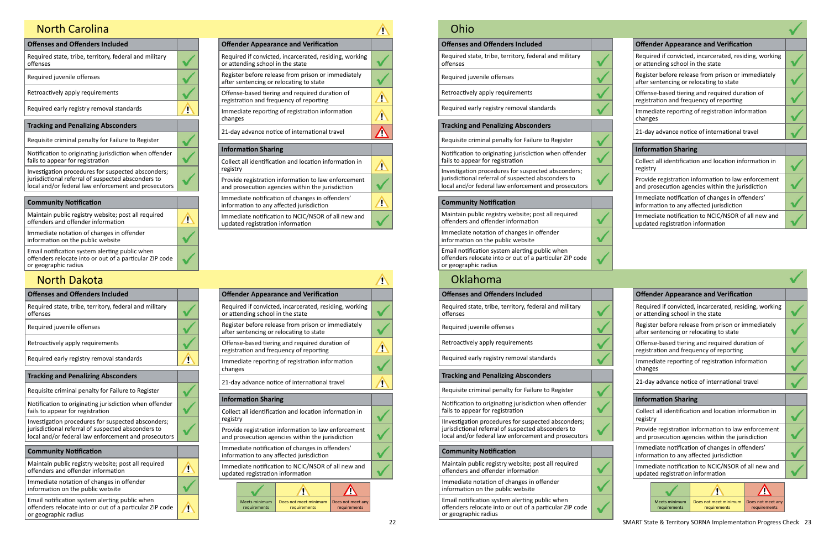| <b>Offenses and Offenders Included</b>                                                                                                                           |  |
|------------------------------------------------------------------------------------------------------------------------------------------------------------------|--|
| Required state, tribe, territory, federal and military<br>offenses                                                                                               |  |
| Required juvenile offenses                                                                                                                                       |  |
| Retroactively apply requirements                                                                                                                                 |  |
| Required early registry removal standards                                                                                                                        |  |
| <b>Tracking and Penalizing Absconders</b>                                                                                                                        |  |
| Requisite criminal penalty for Failure to Register                                                                                                               |  |
| Notification to originating jurisdiction when offender<br>fails to appear for registration                                                                       |  |
| Investigation procedures for suspected absconders;<br>jurisdictional referral of suspected absconders to<br>local and/or federal law enforcement and prosecutors |  |
| <b>Community Notification</b>                                                                                                                                    |  |
|                                                                                                                                                                  |  |
| Maintain public registry website; post all required<br>offenders and offender information                                                                        |  |
| Immediate notation of changes in offender<br>information on the public website                                                                                   |  |

| <b>Offender Appearance and Verification</b>                                                             |  |
|---------------------------------------------------------------------------------------------------------|--|
| Required if convicted, incarcerated, residing, working<br>or attending school in the state              |  |
| Register before release from prison or immediately<br>after sentencing or relocating to state           |  |
| Offense-based tiering and required duration of<br>registration and frequency of reporting               |  |
| Immediate reporting of registration information<br>changes                                              |  |
| 21-day advance notice of international travel                                                           |  |
| <b>Information Sharing</b>                                                                              |  |
| Collect all identification and location information in<br>registry                                      |  |
| Provide registration information to law enforcement<br>and prosecution agencies within the jurisdiction |  |
| Immediate notification of changes in offenders'<br>information to any affected jurisdiction             |  |
| Immediate notification to NCIC/NSOR of all new and<br>updated registration information                  |  |

## North Carolina

| <b>Offenses and Offenders Included</b>                                                                                            |                    | <b>Offender Appearance and Verification</b>                                                    |               |
|-----------------------------------------------------------------------------------------------------------------------------------|--------------------|------------------------------------------------------------------------------------------------|---------------|
| Required state, tribe, territory, federal and military<br>offenses                                                                |                    | Required if convicted, incarcerated, residing,<br>or attending school in the state             |               |
| Required juvenile offenses                                                                                                        |                    | Register before release from prison or immed<br>after sentencing or relocating to state        |               |
| Retroactively apply requirements                                                                                                  |                    | Offense-based tiering and required duration<br>registration and frequency of reporting         |               |
| Required early registry removal standards                                                                                         | Ţ                  | Immediate reporting of registration informat<br>changes                                        |               |
| <b>Tracking and Penalizing Absconders</b>                                                                                         |                    |                                                                                                |               |
| Requisite criminal penalty for Failure to Register                                                                                |                    | 21-day advance notice of international travel                                                  |               |
| Notification to originating jurisdiction when offender                                                                            |                    | <b>Information Sharing</b>                                                                     |               |
| fails to appear for registration                                                                                                  |                    | Collect all identification and location informa                                                |               |
| Investigation procedures for suspected absconders;                                                                                |                    | registry                                                                                       |               |
| jurisdictional referral of suspected absconders to<br>local and/or federal law enforcement and prosecutors                        |                    | Provide registration information to law enfor<br>and prosecution agencies within the jurisdict |               |
| <b>Community Notification</b>                                                                                                     |                    | Immediate notification of changes in offende<br>information to any affected jurisdiction       |               |
| Maintain public registry website; post all required<br>offenders and offender information                                         | $\mathbf{\hat{u}}$ | Immediate notification to NCIC/NSOR of all n<br>updated registration information               |               |
| Immediate notation of changes in offender<br>information on the public website                                                    |                    |                                                                                                |               |
| Email notification system alerting public when<br>offenders relocate into or out of a particular ZIP code<br>or geographic radius | Ţ                  | <b>Meets minimum</b><br>Does not meet minimum<br>requirements<br>requirements                  | Does r<br>req |

## North Dakota

| <b>Offender Appearance and Verification</b>                                                             |  |
|---------------------------------------------------------------------------------------------------------|--|
| Required if convicted, incarcerated, residing, working<br>or attending school in the state              |  |
| Register before release from prison or immediately<br>after sentencing or relocating to state           |  |
| Offense-based tiering and required duration of<br>registration and frequency of reporting               |  |
| Immediate reporting of registration information<br>changes                                              |  |
| 21-day advance notice of international travel                                                           |  |
| <b>Information Sharing</b>                                                                              |  |
| Collect all identification and location information in<br>registry                                      |  |
| Provide registration information to law enforcement<br>and prosecution agencies within the jurisdiction |  |
| Immediate notification of changes in offenders'<br>information to any affected jurisdiction             |  |

| <b>Offender Appearance and Verification</b>                                                             |  |
|---------------------------------------------------------------------------------------------------------|--|
| Required if convicted, incarcerated, residing, working<br>or attending school in the state              |  |
| Register before release from prison or immediately<br>after sentencing or relocating to state           |  |
| Offense-based tiering and required duration of<br>registration and frequency of reporting               |  |
| Immediate reporting of registration information<br>changes                                              |  |
| 21-day advance notice of international travel                                                           |  |
|                                                                                                         |  |
| <b>Information Sharing</b>                                                                              |  |
| Collect all identification and location information in<br>registry                                      |  |
| Provide registration information to law enforcement<br>and prosecution agencies within the jurisdiction |  |
| Immediate notification of changes in offenders'<br>information to any affected jurisdiction             |  |
| Immediate notification to NCIC/NSOR of all new and<br>updated registration information                  |  |
|                                                                                                         |  |

Immediate notification to NCIC/NSOR of all new and updated registration information

| Ohio                                                                                                                                                             |                                                                                                |
|------------------------------------------------------------------------------------------------------------------------------------------------------------------|------------------------------------------------------------------------------------------------|
| <b>Offenses and Offenders Included</b>                                                                                                                           | <b>Offender Appearance and Verification</b>                                                    |
| Required state, tribe, territory, federal and military<br>offenses                                                                                               | Required if convicted, incarcerated, residing,<br>or attending school in the state             |
| Required juvenile offenses                                                                                                                                       | Register before release from prison or immed<br>after sentencing or relocating to state        |
| Retroactively apply requirements                                                                                                                                 | Offense-based tiering and required duration<br>registration and frequency of reporting         |
| Required early registry removal standards                                                                                                                        | Immediate reporting of registration informat<br>changes                                        |
| <b>Tracking and Penalizing Absconders</b>                                                                                                                        | 21-day advance notice of international travel                                                  |
| Requisite criminal penalty for Failure to Register                                                                                                               |                                                                                                |
| Notification to originating jurisdiction when offender                                                                                                           | <b>Information Sharing</b>                                                                     |
| fails to appear for registration                                                                                                                                 | Collect all identification and location informa<br>registry                                    |
| Investigation procedures for suspected absconders;<br>jurisdictional referral of suspected absconders to<br>local and/or federal law enforcement and prosecutors | Provide registration information to law enfor<br>and prosecution agencies within the jurisdict |
| <b>Community Notification</b>                                                                                                                                    | Immediate notification of changes in offende<br>information to any affected jurisdiction       |
| Maintain public registry website; post all required<br>offenders and offender information                                                                        | Immediate notification to NCIC/NSOR of all n<br>updated registration information               |
| Immediate notation of changes in offender<br>information on the public website                                                                                   |                                                                                                |
| Email notification system alerting public when<br>offenders relocate into or out of a particular ZIP code<br>or geographic radius                                |                                                                                                |
| Oklahoma                                                                                                                                                         |                                                                                                |
| <b>Offenses and Offenders Included</b>                                                                                                                           | <b>Offender Appearance and Verification</b>                                                    |
| Required state, tribe, territory, federal and military<br>offenses                                                                                               | Required if convicted, incarcerated, residing,<br>or attending school in the state             |
| Required juvenile offenses                                                                                                                                       | Register before release from prison or immed<br>after sentencing or relocating to state        |
| Retroactively apply requirements                                                                                                                                 | Offense-based tiering and required duration<br>registration and frequency of reporting         |
| Required early registry removal standards                                                                                                                        | Immediate reporting of registration informat<br>changes                                        |
| <b>Tracking and Penalizing Absconders</b>                                                                                                                        | 21-day advance notice of international travel                                                  |
| Requisite criminal penalty for Failure to Register                                                                                                               |                                                                                                |
| Notification to originating iurisdiction whom offende                                                                                                            | <b>Information Sharing</b>                                                                     |

Notification to originating jurisdiction when offender fails to appear for registration

| <b>Offender Appearance and Verification</b>                                                             |  |
|---------------------------------------------------------------------------------------------------------|--|
| Required if convicted, incarcerated, residing, working<br>or attending school in the state              |  |
| Register before release from prison or immediately<br>after sentencing or relocating to state           |  |
| Offense-based tiering and required duration of<br>registration and frequency of reporting               |  |
| Immediate reporting of registration information<br>changes                                              |  |
| 21-day advance notice of international travel                                                           |  |
| <b>Information Sharing</b>                                                                              |  |
| Collect all identification and location information in<br>registry                                      |  |
| Provide registration information to law enforcement<br>and prosecution agencies within the jurisdiction |  |
| Immediate notification of changes in offenders'<br>information to any affected jurisdiction             |  |
| Immediate notification to NCIC/NSOR of all new and<br>updated registration information                  |  |
|                                                                                                         |  |

IInvestigation procedures for suspected absconders; jurisdictional referral of suspected absconders to local and/or federal law enforcement and prosecutors

#### **Community Notification**

Maintain public registry website; post all required offenders and offender information

Immediate notation of changes in offender information on the public website

Email notification system alerting public when offenders relocate into or out of a particular ZIP code or geographic radius

Meets minimum requirements

V

Does not meet minimum Does not meet any

requirements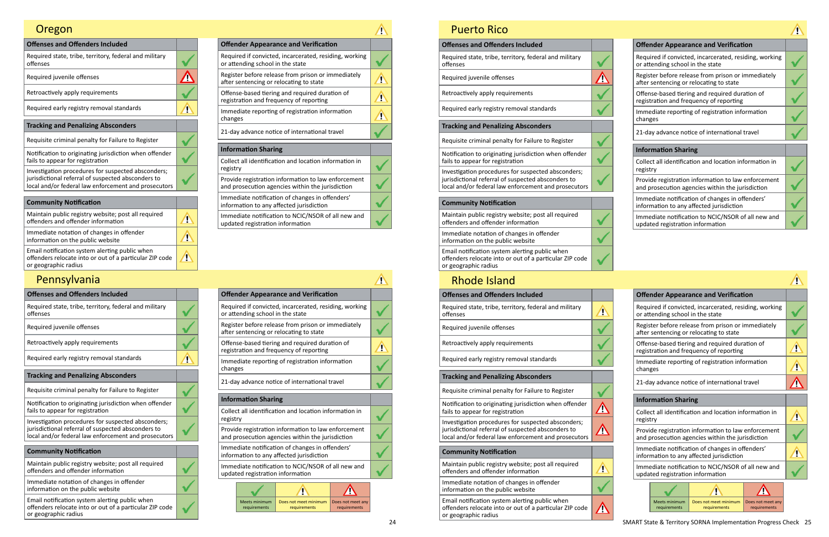| <b>Offenses and Offenders Included</b>                                                                                                                           |  |
|------------------------------------------------------------------------------------------------------------------------------------------------------------------|--|
| Required state, tribe, territory, federal and military<br>offenses                                                                                               |  |
| Required juvenile offenses                                                                                                                                       |  |
| Retroactively apply requirements                                                                                                                                 |  |
| Required early registry removal standards                                                                                                                        |  |
| <b>Tracking and Penalizing Absconders</b>                                                                                                                        |  |
| Requisite criminal penalty for Failure to Register                                                                                                               |  |
| Notification to originating jurisdiction when offender<br>fails to appear for registration                                                                       |  |
| Investigation procedures for suspected absconders;<br>jurisdictional referral of suspected absconders to<br>local and/or federal law enforcement and prosecutors |  |
|                                                                                                                                                                  |  |
| 54. <b>A</b> L                                                                                                                                                   |  |

| <b>Offender Appearance and Verification</b>                                                             |  |
|---------------------------------------------------------------------------------------------------------|--|
| Required if convicted, incarcerated, residing, working<br>or attending school in the state              |  |
| Register before release from prison or immediately<br>after sentencing or relocating to state           |  |
| Offense-based tiering and required duration of<br>registration and frequency of reporting               |  |
| Immediate reporting of registration information<br>changes                                              |  |
| 21-day advance notice of international travel                                                           |  |
| <b>Information Sharing</b>                                                                              |  |
| Collect all identification and location information in<br>registry                                      |  |
| Provide registration information to law enforcement<br>and prosecution agencies within the jurisdiction |  |
| Immediate notification of changes in offenders'<br>information to any affected jurisdiction             |  |
|                                                                                                         |  |

Immediate notification to NCIC/NSOR of all new and updated registration information

# Oregon

| <b>Offenses and Offenders Included</b>                                                                                            |   | <b>Offender Appearance and Verification</b>                                                    |
|-----------------------------------------------------------------------------------------------------------------------------------|---|------------------------------------------------------------------------------------------------|
| Required state, tribe, territory, federal and military<br>offenses                                                                |   | Required if convicted, incarcerated, residing,<br>or attending school in the state             |
| Required juvenile offenses                                                                                                        |   | Register before release from prison or immed<br>after sentencing or relocating to state        |
| Retroactively apply requirements                                                                                                  |   | Offense-based tiering and required duration<br>registration and frequency of reporting         |
| Required early registry removal standards                                                                                         | Ţ | Immediate reporting of registration informat<br>changes                                        |
| <b>Tracking and Penalizing Absconders</b>                                                                                         |   |                                                                                                |
| Requisite criminal penalty for Failure to Register                                                                                |   | 21-day advance notice of international travel                                                  |
| Notification to originating jurisdiction when offender                                                                            |   | <b>Information Sharing</b>                                                                     |
| fails to appear for registration                                                                                                  |   | Collect all identification and location informa                                                |
| Investigation procedures for suspected absconders;                                                                                |   | registry                                                                                       |
| jurisdictional referral of suspected absconders to<br>local and/or federal law enforcement and prosecutors                        |   | Provide registration information to law enfor<br>and prosecution agencies within the jurisdict |
| <b>Community Notification</b>                                                                                                     |   | Immediate notification of changes in offende<br>information to any affected jurisdiction       |
| Maintain public registry website; post all required<br>offenders and offender information                                         |   | Immediate notification to NCIC/NSOR of all n<br>updated registration information               |
| Immediate notation of changes in offender<br>information on the public website                                                    |   |                                                                                                |
| Email notification system alerting public when<br>offenders relocate into or out of a particular ZIP code<br>or geographic radius |   | Does r<br>Meets minimum<br>Does not meet minimum<br>requirements<br>requirements<br>req        |

# Pennsylvania

24 SMART State & Territory SORNA Implementation Progress Check 25 requirements

| <b>Offender Appearance and Verification</b>                                                             |  |
|---------------------------------------------------------------------------------------------------------|--|
| Required if convicted, incarcerated, residing, working<br>or attending school in the state              |  |
| Register before release from prison or immediately<br>after sentencing or relocating to state           |  |
| Offense-based tiering and required duration of<br>registration and frequency of reporting               |  |
| Immediate reporting of registration information<br>changes                                              |  |
| 21-day advance notice of international travel                                                           |  |
| <b>Information Sharing</b>                                                                              |  |
| Collect all identification and location information in<br>registry                                      |  |
| Provide registration information to law enforcement<br>and prosecution agencies within the jurisdiction |  |
| Immediate notification of changes in offenders'<br>information to any affected jurisdiction             |  |
| Immodiate notification to NCIC/NCOB of all new and                                                      |  |

| <b>Puerto Rico</b>                                                                                                                                               |  |
|------------------------------------------------------------------------------------------------------------------------------------------------------------------|--|
| <b>Offenses and Offenders Included</b>                                                                                                                           |  |
| Required state, tribe, territory, federal and military<br>offenses                                                                                               |  |
| Required juvenile offenses                                                                                                                                       |  |
| Retroactively apply requirements                                                                                                                                 |  |
| Required early registry removal standards                                                                                                                        |  |
| <b>Tracking and Penalizing Absconders</b>                                                                                                                        |  |
| Requisite criminal penalty for Failure to Register                                                                                                               |  |
| Notification to originating jurisdiction when offender<br>fails to appear for registration                                                                       |  |
| Investigation procedures for suspected absconders;<br>jurisdictional referral of suspected absconders to<br>local and/or federal law enforcement and prosecutors |  |
| <b>Community Notification</b>                                                                                                                                    |  |
| Maintain public registry website; post all required<br>offenders and offender information                                                                        |  |
| Immediate notation of changes in offender<br>information on the public website                                                                                   |  |
| Email notification system alerting public when<br>offenders relocate into or out of a particular ZIP code<br>or geographic radius                                |  |
| <b>Rhode Island</b>                                                                                                                                              |  |

| <b>Offender Appearance and Verification</b>                                                             |  |  |  |
|---------------------------------------------------------------------------------------------------------|--|--|--|
| Required if convicted, incarcerated, residing, working<br>or attending school in the state              |  |  |  |
| Register before release from prison or immediately<br>after sentencing or relocating to state           |  |  |  |
| Offense-based tiering and required duration of<br>registration and frequency of reporting               |  |  |  |
| Immediate reporting of registration information<br>changes                                              |  |  |  |
| 21-day advance notice of international travel                                                           |  |  |  |
| <b>Information Sharing</b>                                                                              |  |  |  |
|                                                                                                         |  |  |  |
| Collect all identification and location information in<br>registry                                      |  |  |  |
| Provide registration information to law enforcement<br>and prosecution agencies within the jurisdiction |  |  |  |
| Immediate notification of changes in offenders'<br>information to any affected jurisdiction             |  |  |  |
| Immediate notification to NCIC/NSOR of all new and<br>updated registration information                  |  |  |  |
|                                                                                                         |  |  |  |

Immediate notification to NCIC/NSOR of all new and updated registration information

| <b>Offender Appearance and Verification</b>                                                             |  |  |  |
|---------------------------------------------------------------------------------------------------------|--|--|--|
| Required if convicted, incarcerated, residing, working<br>or attending school in the state              |  |  |  |
| Register before release from prison or immediately<br>after sentencing or relocating to state           |  |  |  |
| Offense-based tiering and required duration of<br>registration and frequency of reporting               |  |  |  |
| Immediate reporting of registration information<br>changes                                              |  |  |  |
| 21-day advance notice of international travel                                                           |  |  |  |
| <b>Information Sharing</b>                                                                              |  |  |  |
| Collect all identification and location information in<br>registry                                      |  |  |  |
| Provide registration information to law enforcement<br>and prosecution agencies within the jurisdiction |  |  |  |
| Immediate notification of changes in offenders'<br>information to any affected jurisdiction             |  |  |  |
| Immediate notification to NCIC/NSOR of all new and<br>updated registration information                  |  |  |  |
|                                                                                                         |  |  |  |

| <b>Offenses and Offenders Included</b>                                                                                                                           |             | <b>Offender Appearance and Verification</b>                                                     |
|------------------------------------------------------------------------------------------------------------------------------------------------------------------|-------------|-------------------------------------------------------------------------------------------------|
| Required state, tribe, territory, federal and military<br>offenses                                                                                               | <u>s</u>    | Required if convicted, incarcerated, residing,<br>or attending school in the state              |
| Required juvenile offenses                                                                                                                                       |             | Register before release from prison or immer<br>after sentencing or relocating to state         |
| Retroactively apply requirements                                                                                                                                 |             | Offense-based tiering and required duration<br>registration and frequency of reporting          |
| Required early registry removal standards                                                                                                                        |             | Immediate reporting of registration informat<br>changes                                         |
| <b>Tracking and Penalizing Absconders</b>                                                                                                                        |             |                                                                                                 |
| Requisite criminal penalty for Failure to Register                                                                                                               |             | 21-day advance notice of international travel                                                   |
| Notification to originating jurisdiction when offender                                                                                                           |             | <b>Information Sharing</b>                                                                      |
| fails to appear for registration                                                                                                                                 | <u>Лі</u>   | Collect all identification and location informa                                                 |
| Investigation procedures for suspected absconders;<br>jurisdictional referral of suspected absconders to<br>local and/or federal law enforcement and prosecutors | <u>(i, </u> | registry<br>Provide registration information to law enfor                                       |
|                                                                                                                                                                  |             | and prosecution agencies within the jurisdict                                                   |
| <b>Community Notification</b>                                                                                                                                    |             | Immediate notification of changes in offende<br>information to any affected jurisdiction        |
| Maintain public registry website; post all required<br>offenders and offender information                                                                        | Ţ           | Immediate notification to NCIC/NSOR of all n<br>updated registration information                |
| Immediate notation of changes in offender<br>information on the public website                                                                                   |             |                                                                                                 |
| Email notification system alerting public when<br>offenders relocate into or out of a particular ZIP code<br>or geographic radius                                | 4           | Does not meet minimum<br><b>Meets minimum</b><br>Does n<br>requirements<br>requirements<br>requ |
|                                                                                                                                                                  |             |                                                                                                 |

# Rhode Island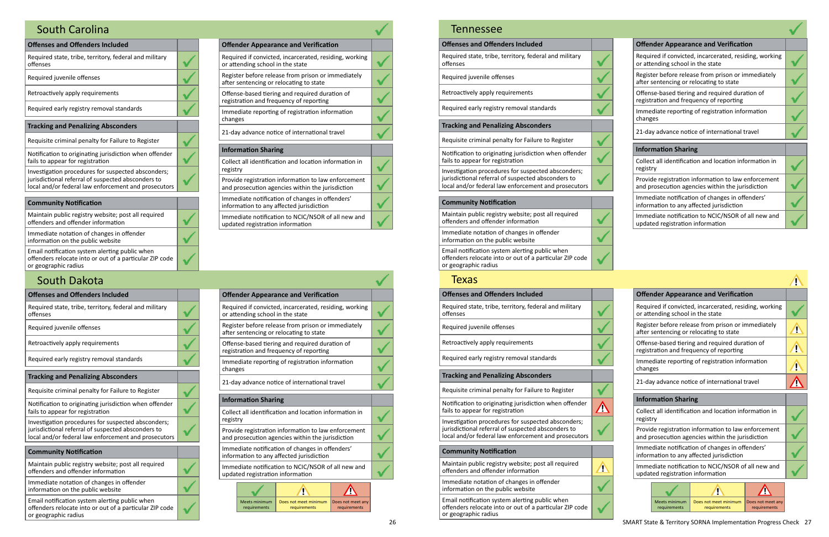| <b>Offenses and Offenders Included</b>                                                                                                                           |  |
|------------------------------------------------------------------------------------------------------------------------------------------------------------------|--|
| Required state, tribe, territory, federal and military<br>offenses                                                                                               |  |
| Required juvenile offenses                                                                                                                                       |  |
| Retroactively apply requirements                                                                                                                                 |  |
| Required early registry removal standards                                                                                                                        |  |
| <b>Tracking and Penalizing Absconders</b>                                                                                                                        |  |
| Requisite criminal penalty for Failure to Register                                                                                                               |  |
| Notification to originating jurisdiction when offender<br>fails to appear for registration                                                                       |  |
| Investigation procedures for suspected absconders;<br>jurisdictional referral of suspected absconders to<br>local and/or federal law enforcement and prosecutors |  |
| <b>Community Notification</b>                                                                                                                                    |  |
|                                                                                                                                                                  |  |
| Maintain public registry website; post all required<br>offenders and offender information                                                                        |  |
| Immediate notation of changes in offender<br>information on the public website                                                                                   |  |
|                                                                                                                                                                  |  |

| <b>Offender Appearance and Verification</b>                                                             |  |
|---------------------------------------------------------------------------------------------------------|--|
| Required if convicted, incarcerated, residing, working<br>or attending school in the state              |  |
| Register before release from prison or immediately<br>after sentencing or relocating to state           |  |
| Offense-based tiering and required duration of<br>registration and frequency of reporting               |  |
| Immediate reporting of registration information<br>changes                                              |  |
| 21-day advance notice of international travel                                                           |  |
| <b>Information Sharing</b>                                                                              |  |
| Collect all identification and location information in<br>registry                                      |  |
| Provide registration information to law enforcement<br>and prosecution agencies within the jurisdiction |  |
| Immediate notification of changes in offenders'<br>information to any affected jurisdiction             |  |
| Immediate notification to NCIC/NSOR of all new and<br>updated registration information                  |  |
|                                                                                                         |  |

 $\overline{\mathbf{v}}$ 

## South Carolina

| <b>Offenses and Offenders Included</b>                                                                                            | <b>Offender Appearance and Verification</b>                                                    |
|-----------------------------------------------------------------------------------------------------------------------------------|------------------------------------------------------------------------------------------------|
| Required state, tribe, territory, federal and military<br>offenses                                                                | Required if convicted, incarcerated, residing,<br>or attending school in the state             |
| Required juvenile offenses                                                                                                        | Register before release from prison or immed<br>after sentencing or relocating to state        |
| Retroactively apply requirements                                                                                                  | Offense-based tiering and required duration<br>registration and frequency of reporting         |
| Required early registry removal standards                                                                                         | Immediate reporting of registration informat<br>changes                                        |
| <b>Tracking and Penalizing Absconders</b>                                                                                         |                                                                                                |
| Requisite criminal penalty for Failure to Register                                                                                | 21-day advance notice of international travel                                                  |
| Notification to originating jurisdiction when offender                                                                            | <b>Information Sharing</b>                                                                     |
| fails to appear for registration                                                                                                  | Collect all identification and location informa                                                |
| Investigation procedures for suspected absconders;                                                                                | registry                                                                                       |
| jurisdictional referral of suspected absconders to<br>local and/or federal law enforcement and prosecutors                        | Provide registration information to law enfor<br>and prosecution agencies within the jurisdict |
| <b>Community Notification</b>                                                                                                     | Immediate notification of changes in offende<br>information to any affected jurisdiction       |
| Maintain public registry website; post all required<br>offenders and offender information                                         | Immediate notification to NCIC/NSOR of all n<br>updated registration information               |
| Immediate notation of changes in offender<br>information on the public website                                                    |                                                                                                |
| Email notification system alerting public when<br>offenders relocate into or out of a particular ZIP code<br>or geographic radius | Does not meet minimum<br>Meets minimum<br>Does r<br>requirements<br>requirements<br>requ       |

## South Dakota

## **Offenses and Offenders Included** Required state, tribe, territory, federal and military offenses Required juvenile offenses Retroactively apply requirements Required early registry removal standards **Tracking and Penalizing Absconders** Requisite criminal penalty for Failure to Register Notification to originating jurisdiction when offender fails to appear for registration

| <b>Offender Appearance and Verification</b>                                                             |  |
|---------------------------------------------------------------------------------------------------------|--|
| Required if convicted, incarcerated, residing, working<br>or attending school in the state              |  |
| Register before release from prison or immediately<br>after sentencing or relocating to state           |  |
| Offense-based tiering and required duration of<br>registration and frequency of reporting               |  |
| Immediate reporting of registration information<br>changes                                              |  |
| 21-day advance notice of international travel                                                           |  |
| <b>Information Sharing</b>                                                                              |  |
| Collect all identification and location information in<br>registry                                      |  |
| Provide registration information to law enforcement<br>and prosecution agencies within the jurisdiction |  |
| Immediate notification of changes in offenders'<br>information to any affected jurisdiction             |  |
| Immediate notification to NCIC/NSOR of all new and<br>updated registration information                  |  |

Investigation procedures for suspected absconders; jurisdictional referral of suspected absconders to local and/or federal law enforcement and prosecutors

|                                                                                                             |                            | <b>Offender Appearance and Verification</b>                                                   |  |  |  |
|-------------------------------------------------------------------------------------------------------------|----------------------------|-----------------------------------------------------------------------------------------------|--|--|--|
| Required if convicted, incarcerated, residing, working<br>or attending school in the state                  |                            |                                                                                               |  |  |  |
|                                                                                                             |                            | Register before release from prison or immediately<br>after sentencing or relocating to state |  |  |  |
|                                                                                                             |                            | Offense-based tiering and required duration of<br>registration and frequency of reporting     |  |  |  |
| changes                                                                                                     |                            | Immediate reporting of registration information                                               |  |  |  |
| 21-day advance notice of international travel                                                               |                            |                                                                                               |  |  |  |
|                                                                                                             | <b>Information Sharing</b> |                                                                                               |  |  |  |
| Collect all identification and location information in<br>registry                                          |                            |                                                                                               |  |  |  |
| Provide registration information to law enforcement<br>and prosecution agencies within the jurisdiction     |                            |                                                                                               |  |  |  |
| Immediate notification of changes in offenders'<br>information to any affected jurisdiction                 |                            |                                                                                               |  |  |  |
| Immediate notification to NCIC/NSOR of all new and<br>updated registration information                      |                            |                                                                                               |  |  |  |
|                                                                                                             |                            |                                                                                               |  |  |  |
| Meets minimum<br>Does not meet minimum<br>Does not meet any<br>requirements<br>requirements<br>requirements |                            |                                                                                               |  |  |  |

#### **Community Notification**

Maintain public registry website; post all required offenders and offender information

 $\checkmark$ 

 $\overline{\mathbf{v}}$ 

 $\overline{\mathbf{v}}$ 

Immediate notation of changes in offender information on the public website

Email notification system alerting public when offenders relocate into or out of a particular ZIP code or geographic radius

#### Tennessee

| <b>Offender Appearance and Verification</b>                                                             |  |
|---------------------------------------------------------------------------------------------------------|--|
| Required if convicted, incarcerated, residing, working<br>or attending school in the state              |  |
| Register before release from prison or immediately<br>after sentencing or relocating to state           |  |
| Offense-based tiering and required duration of<br>registration and frequency of reporting               |  |
| Immediate reporting of registration information<br>changes                                              |  |
| 21-day advance notice of international travel                                                           |  |
| <b>Information Sharing</b>                                                                              |  |
| Collect all identification and location information in<br>registry                                      |  |
| Provide registration information to law enforcement<br>and prosecution agencies within the jurisdiction |  |
| Immediate notification of changes in offenders'<br>information to any affected jurisdiction             |  |
| Immediate notification to NCIC/NSOR of all new and<br>updated registration information                  |  |
|                                                                                                         |  |

| <b>Offenses and Offenders Included</b>                                                                                            |                    |                                                                                         |                                  | <b>Offender Appearance and Verification</b>                                                    |               |
|-----------------------------------------------------------------------------------------------------------------------------------|--------------------|-----------------------------------------------------------------------------------------|----------------------------------|------------------------------------------------------------------------------------------------|---------------|
| Required state, tribe, territory, federal and military<br>offenses                                                                |                    |                                                                                         | or attending school in the state | Required if convicted, incarcerated, residing,                                                 |               |
| Required juvenile offenses                                                                                                        |                    | Register before release from prison or immed<br>after sentencing or relocating to state |                                  |                                                                                                |               |
| Retroactively apply requirements                                                                                                  |                    | Offense-based tiering and required duration<br>registration and frequency of reporting  |                                  |                                                                                                |               |
| Required early registry removal standards                                                                                         |                    | Immediate reporting of registration informat<br>changes                                 |                                  |                                                                                                |               |
| <b>Tracking and Penalizing Absconders</b>                                                                                         |                    |                                                                                         |                                  |                                                                                                |               |
| Requisite criminal penalty for Failure to Register                                                                                |                    |                                                                                         |                                  | 21-day advance notice of international travel                                                  |               |
| Notification to originating jurisdiction when offender                                                                            |                    |                                                                                         | <b>Information Sharing</b>       |                                                                                                |               |
| fails to appear for registration                                                                                                  | $\mathbf{u}$       |                                                                                         |                                  | Collect all identification and location informa                                                |               |
| Investigation procedures for suspected absconders;                                                                                |                    | registry                                                                                |                                  |                                                                                                |               |
| jurisdictional referral of suspected absconders to<br>local and/or federal law enforcement and prosecutors                        |                    |                                                                                         |                                  | Provide registration information to law enfor<br>and prosecution agencies within the jurisdict |               |
| <b>Community Notification</b>                                                                                                     |                    |                                                                                         |                                  | Immediate notification of changes in offende<br>information to any affected jurisdiction       |               |
| Maintain public registry website; post all required<br>offenders and offender information                                         | $\mathbf{\hat{v}}$ |                                                                                         |                                  | Immediate notification to NCIC/NSOR of all n<br>updated registration information               |               |
| Immediate notation of changes in offender                                                                                         |                    |                                                                                         |                                  |                                                                                                |               |
| information on the public website                                                                                                 |                    |                                                                                         |                                  |                                                                                                |               |
| Email notification system alerting public when<br>offenders relocate into or out of a particular ZIP code<br>or geographic radius |                    |                                                                                         | Meets minimum<br>requirements    | Does not meet minimum<br>requirements                                                          | Does r<br>req |

#### Texas

Does not meet minimum Does not meet any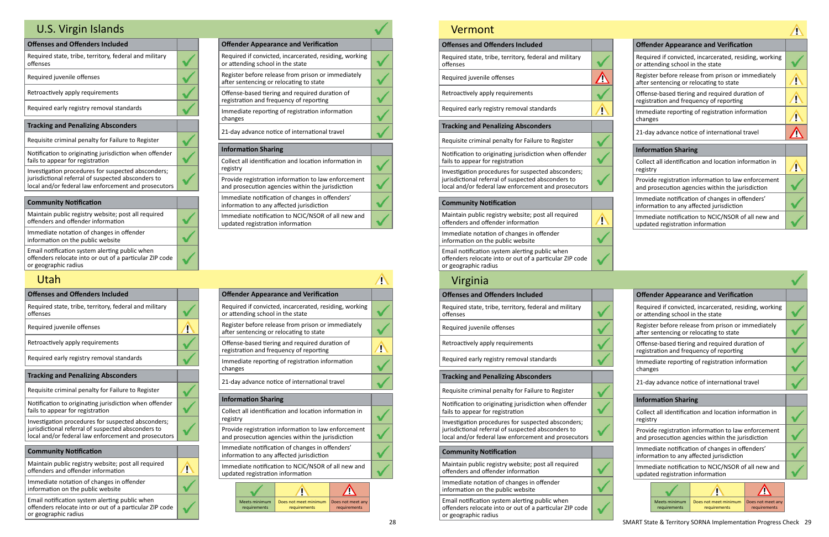| <b>Offender Appearance and Verification</b>                                                             |  |
|---------------------------------------------------------------------------------------------------------|--|
| Required if convicted, incarcerated, residing, working<br>or attending school in the state              |  |
| Register before release from prison or immediately<br>after sentencing or relocating to state           |  |
| Offense-based tiering and required duration of<br>registration and frequency of reporting               |  |
| Immediate reporting of registration information<br>changes                                              |  |
| 21-day advance notice of international travel                                                           |  |
| <b>Information Sharing</b>                                                                              |  |
| Collect all identification and location information in<br>registry                                      |  |
| Provide registration information to law enforcement<br>and prosecution agencies within the jurisdiction |  |
| Immediate notification of changes in offenders'<br>information to any affected jurisdiction             |  |
| Immediate notification to NCIC/NSOR of all new and                                                      |  |

| <b>Offenses and Offenders Included</b>                                                                                                                           |  |
|------------------------------------------------------------------------------------------------------------------------------------------------------------------|--|
| Required state, tribe, territory, federal and military<br>offenses                                                                                               |  |
| Required juvenile offenses                                                                                                                                       |  |
| Retroactively apply requirements                                                                                                                                 |  |
| Required early registry removal standards                                                                                                                        |  |
| <b>Tracking and Penalizing Absconders</b>                                                                                                                        |  |
| Requisite criminal penalty for Failure to Register                                                                                                               |  |
| Notification to originating jurisdiction when offender<br>fails to appear for registration                                                                       |  |
| Investigation procedures for suspected absconders;<br>jurisdictional referral of suspected absconders to<br>local and/or federal law enforcement and prosecutors |  |
| <b>Community Notification</b>                                                                                                                                    |  |
|                                                                                                                                                                  |  |
| Maintain public registry website; post all required<br>offenders and offender information                                                                        |  |
| Immediate notation of changes in offender<br>information on the public website                                                                                   |  |

updated registration information

Email notification system alerting public when offenders relocate into or out of a particular ZIP code or geographic radius

 $\checkmark$ 

# U.S. Virgin Islands

| <b>Offenses and Offenders Included</b>                                                                     |  |                                                                                                |                                  | <b>Offender Appearance and Verification</b>                                             |                |
|------------------------------------------------------------------------------------------------------------|--|------------------------------------------------------------------------------------------------|----------------------------------|-----------------------------------------------------------------------------------------|----------------|
| Required state, tribe, territory, federal and military<br>offenses                                         |  |                                                                                                | or attending school in the state | Required if convicted, incarcerated, residing,                                          |                |
| Required juvenile offenses                                                                                 |  |                                                                                                |                                  | Register before release from prison or immed<br>after sentencing or relocating to state |                |
| Retroactively apply requirements                                                                           |  |                                                                                                |                                  | Offense-based tiering and required duration<br>registration and frequency of reporting  |                |
| Required early registry removal standards                                                                  |  | changes                                                                                        |                                  | Immediate reporting of registration informat                                            |                |
| <b>Tracking and Penalizing Absconders</b>                                                                  |  |                                                                                                |                                  |                                                                                         |                |
| Requisite criminal penalty for Failure to Register                                                         |  |                                                                                                |                                  | 21-day advance notice of international travel                                           |                |
| Notification to originating jurisdiction when offender                                                     |  |                                                                                                | <b>Information Sharing</b>       |                                                                                         |                |
| fails to appear for registration                                                                           |  |                                                                                                |                                  | Collect all identification and location informa                                         |                |
| Investigation procedures for suspected absconders;                                                         |  | registry                                                                                       |                                  |                                                                                         |                |
| jurisdictional referral of suspected absconders to<br>local and/or federal law enforcement and prosecutors |  | Provide registration information to law enfor<br>and prosecution agencies within the jurisdict |                                  |                                                                                         |                |
| <b>Community Notification</b>                                                                              |  |                                                                                                |                                  | Immediate notification of changes in offende                                            |                |
|                                                                                                            |  |                                                                                                |                                  | information to any affected jurisdiction                                                |                |
| Maintain public registry website; post all required<br>offenders and offender information                  |  |                                                                                                | updated registration information | Immediate notification to NCIC/NSOR of all n                                            |                |
| Immediate notation of changes in offender<br>information on the public website                             |  |                                                                                                |                                  |                                                                                         |                |
| Email notification system alerting public when<br>offenders relocate into or out of a particular ZIP code  |  |                                                                                                | Meets minimum<br>requirements    | Does not meet minimum<br>requirements                                                   | Does n<br>requ |

or geographic radius

## Utah

| <b>Offender Appearance and Verification</b>                                                             |  |
|---------------------------------------------------------------------------------------------------------|--|
| Required if convicted, incarcerated, residing, working<br>or attending school in the state              |  |
| Register before release from prison or immediately<br>after sentencing or relocating to state           |  |
| Offense-based tiering and required duration of<br>registration and frequency of reporting               |  |
| Immediate reporting of registration information<br>changes                                              |  |
| 21-day advance notice of international travel                                                           |  |
| <b>Information Sharing</b>                                                                              |  |
| Collect all identification and location information in<br>registry                                      |  |
| Provide registration information to law enforcement<br>and prosecution agencies within the jurisdiction |  |
| Immediate notification of changes in offenders'<br>information to any affected jurisdiction             |  |
| Immediate notification to NCIC/NSOR of all new and<br>updated registration information                  |  |

|                                                                                                         |                                                                                                                    | <b>Offender Appearance and Verification</b>                                                   |  |  |  |  |
|---------------------------------------------------------------------------------------------------------|--------------------------------------------------------------------------------------------------------------------|-----------------------------------------------------------------------------------------------|--|--|--|--|
| Required if convicted, incarcerated, residing, working<br>or attending school in the state              |                                                                                                                    |                                                                                               |  |  |  |  |
|                                                                                                         |                                                                                                                    | Register before release from prison or immediately<br>after sentencing or relocating to state |  |  |  |  |
|                                                                                                         |                                                                                                                    | Offense-based tiering and required duration of<br>registration and frequency of reporting     |  |  |  |  |
| changes                                                                                                 |                                                                                                                    | Immediate reporting of registration information                                               |  |  |  |  |
|                                                                                                         |                                                                                                                    | 21-day advance notice of international travel                                                 |  |  |  |  |
| <b>Information Sharing</b>                                                                              |                                                                                                                    |                                                                                               |  |  |  |  |
| Collect all identification and location information in<br>registry                                      |                                                                                                                    |                                                                                               |  |  |  |  |
| Provide registration information to law enforcement<br>and prosecution agencies within the jurisdiction |                                                                                                                    |                                                                                               |  |  |  |  |
| Immediate notification of changes in offenders'<br>information to any affected jurisdiction             |                                                                                                                    |                                                                                               |  |  |  |  |
| Immediate notification to NCIC/NSOR of all new and<br>updated registration information                  |                                                                                                                    |                                                                                               |  |  |  |  |
|                                                                                                         |                                                                                                                    |                                                                                               |  |  |  |  |
|                                                                                                         | <b>Meets minimum</b><br>Does not meet minimum<br>Does not meet any<br>requirements<br>requirements<br>requirements |                                                                                               |  |  |  |  |
|                                                                                                         |                                                                                                                    |                                                                                               |  |  |  |  |

## Vermont

| vermont                                                                                                                                                          |   |                                                                                                            |
|------------------------------------------------------------------------------------------------------------------------------------------------------------------|---|------------------------------------------------------------------------------------------------------------|
| <b>Offenses and Offenders Included</b>                                                                                                                           |   | <b>Offender Appearance and Verification</b>                                                                |
| Required state, tribe, territory, federal and military<br>offenses                                                                                               |   | Required if convicted, incarcerated, residing,<br>or attending school in the state                         |
| Required juvenile offenses                                                                                                                                       |   | Register before release from prison or immed<br>after sentencing or relocating to state                    |
| Retroactively apply requirements                                                                                                                                 |   | Offense-based tiering and required duration<br>registration and frequency of reporting                     |
| Required early registry removal standards                                                                                                                        | Ţ | Immediate reporting of registration informat<br>changes                                                    |
| <b>Tracking and Penalizing Absconders</b>                                                                                                                        |   | 21-day advance notice of international travel                                                              |
| Requisite criminal penalty for Failure to Register                                                                                                               |   |                                                                                                            |
| Notification to originating jurisdiction when offender<br>fails to appear for registration                                                                       |   | <b>Information Sharing</b><br>Collect all identification and location informa                              |
| Investigation procedures for suspected absconders;<br>jurisdictional referral of suspected absconders to<br>local and/or federal law enforcement and prosecutors |   | registry<br>Provide registration information to law enfor<br>and prosecution agencies within the jurisdict |
| <b>Community Notification</b>                                                                                                                                    |   | Immediate notification of changes in offende<br>information to any affected jurisdiction                   |
| Maintain public registry website; post all required<br>offenders and offender information                                                                        | D | Immediate notification to NCIC/NSOR of all n<br>updated registration information                           |
| Immediate notation of changes in offender<br>information on the public website                                                                                   |   |                                                                                                            |
| Email notification system alerting public when<br>offenders relocate into or out of a particular ZIP code<br>or geographic radius                                |   |                                                                                                            |
| Virginia                                                                                                                                                         |   |                                                                                                            |
| <b>Offenses and Offenders Included</b>                                                                                                                           |   | <b>Offender Appearance and Verification</b>                                                                |
| Required state, tribe, territory, federal and military<br>offenses                                                                                               |   | Required if convicted, incarcerated, residing,<br>or attending school in the state                         |
| Required juvenile offenses                                                                                                                                       |   | Register before release from prison or immer<br>after sentencing or relocating to state                    |
| Retroactively apply requirements                                                                                                                                 |   | Offense-based tiering and required duration<br>registration and frequency of reporting                     |
| Required early registry removal standards                                                                                                                        |   | Immediate reporting of registration informat<br>changes                                                    |
| <b>Tracking and Penalizing Absconders</b>                                                                                                                        |   | 21-day advance notice of international travel                                                              |
| Requisite criminal penalty for Failure to Register                                                                                                               |   |                                                                                                            |
| Notification to originating jurisdiction when offender<br>fails to appear for registration                                                                       |   | <b>Information Sharing</b><br>Collect all identification and location informa                              |
| Investigation procedures for suspected absconders;<br>jurisdictional referral of suspected absconders to                                                         |   | registry<br>Provide registration information to law enfor                                                  |
| local and/or federal law enforcement and prosecutors                                                                                                             |   | and prosecution agencies within the jurisdict                                                              |
| <b>Community Notification</b>                                                                                                                                    |   | Immediate notification of changes in offende<br>information to any affected jurisdiction                   |
| Maintain public registry website; post all required<br>offenders and offender information                                                                        |   | Immediate notification to NCIC/NSOR of all n<br>updated registration information                           |
| Immediate notation of changes in offender<br>information on the public website                                                                                   |   |                                                                                                            |
| Email notification system alerting public when<br>offenders relocate into or out of a particular ZIP code<br>or geographic radius                                |   | Meets minimum<br>Does not meet minimum<br>Does r<br>requirements<br>requirements<br>req                    |

| <b>Offender Appearance and Verification</b>                                                             |  |  |  |  |  |
|---------------------------------------------------------------------------------------------------------|--|--|--|--|--|
| Required if convicted, incarcerated, residing, working<br>or attending school in the state              |  |  |  |  |  |
| Register before release from prison or immediately<br>after sentencing or relocating to state           |  |  |  |  |  |
| Offense-based tiering and required duration of<br>registration and frequency of reporting               |  |  |  |  |  |
| Immediate reporting of registration information<br>changes                                              |  |  |  |  |  |
| 21-day advance notice of international travel                                                           |  |  |  |  |  |
|                                                                                                         |  |  |  |  |  |
| <b>Information Sharing</b>                                                                              |  |  |  |  |  |
| Collect all identification and location information in<br>registry                                      |  |  |  |  |  |
| Provide registration information to law enforcement<br>and prosecution agencies within the jurisdiction |  |  |  |  |  |
| Immediate notification of changes in offenders'<br>information to any affected jurisdiction             |  |  |  |  |  |